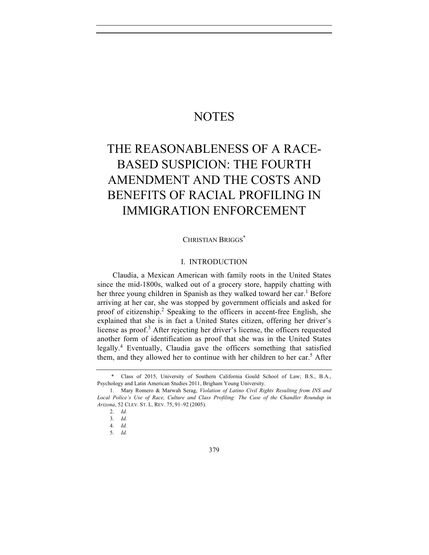# **NOTES**

# THE REASONABLENESS OF A RACE-BASED SUSPICION: THE FOURTH AMENDMENT AND THE COSTS AND BENEFITS OF RACIAL PROFILING IN IMMIGRATION ENFORCEMENT

CHRISTIAN BRIGGS<sup>\*</sup>

# I. INTRODUCTION

Claudia, a Mexican American with family roots in the United States since the mid-1800s, walked out of a grocery store, happily chatting with her three young children in Spanish as they walked toward her car.<sup>1</sup> Before arriving at her car, she was stopped by government officials and asked for proof of citizenship.<sup>2</sup> Speaking to the officers in accent-free English, she explained that she is in fact a United States citizen, offering her driver's license as proof.<sup>3</sup> After rejecting her driver's license, the officers requested another form of identification as proof that she was in the United States legally.<sup>4</sup> Eventually, Claudia gave the officers something that satisfied them, and they allowed her to continue with her children to her car.<sup>5</sup> After

<sup>\*</sup> Class of 2015, University of Southern California Gould School of Law; B.S., B.A., Psychology and Latin American Studies 2011, Brigham Young University.

<sup>1.</sup> Mary Romero & Marwah Serag, *Violation of Latino Civil Rights Resulting from INS and Local Police's Use of Race, Culture and Class Profiling: The Case of the Chandler Roundup in Arizona*, 52 CLEV. ST. L. REV. 75, 91–92 (2005).

<sup>2.</sup> *Id.* 

<sup>3.</sup> *Id.*

<sup>4.</sup> *Id.* 

<sup>5.</sup> *Id.*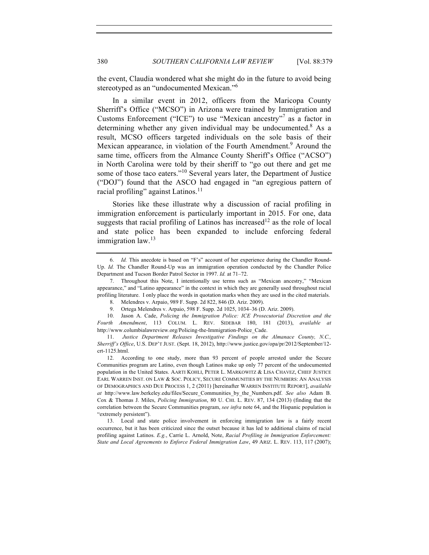the event, Claudia wondered what she might do in the future to avoid being stereotyped as an "undocumented Mexican."<sup>6</sup>

In a similar event in 2012, officers from the Maricopa County Sherriff's Office ("MCSO") in Arizona were trained by Immigration and Customs Enforcement ("ICE") to use "Mexican ancestry" <sup>7</sup> as a factor in determining whether any given individual may be undocumented.<sup>8</sup> As a result, MCSO officers targeted individuals on the sole basis of their Mexican appearance, in violation of the Fourth Amendment.<sup>9</sup> Around the same time, officers from the Almance County Sheriff's Office ("ACSO") in North Carolina were told by their sheriff to "go out there and get me some of those taco eaters."<sup>10</sup> Several years later, the Department of Justice ("DOJ") found that the ASCO had engaged in "an egregious pattern of racial profiling" against Latinos.<sup>11</sup>

Stories like these illustrate why a discussion of racial profiling in immigration enforcement is particularly important in 2015. For one, data suggests that racial profiling of Latinos has increased<sup>12</sup> as the role of local and state police has been expanded to include enforcing federal immigration law.<sup>13</sup>

13. Local and state police involvement in enforcing immigration law is a fairly recent occurrence, but it has been criticized since the outset because it has led to additional claims of racial profiling against Latinos. *E.g.*, Carrie L. Arnold, Note, *Racial Profiling in Immigration Enforcement: State and Local Agreements to Enforce Federal Immigration Law*, 49 ARIZ. L. REV. 113, 117 (2007);

<sup>6.</sup> *Id.* This anecdote is based on "F's" account of her experience during the Chandler Round-Up. *Id.* The Chandler Round-Up was an immigration operation conducted by the Chandler Police Department and Tucson Border Patrol Sector in 1997. *Id.* at 71–72.

<sup>7.</sup> Throughout this Note, I intentionally use terms such as "Mexican ancestry," "Mexican appearance," and "Latino appearance" in the context in which they are generally used throughout racial profiling literature. I only place the words in quotation marks when they are used in the cited materials.

<sup>8.</sup> Melendres v. Arpaio, 989 F. Supp. 2d 822, 846 (D. Ariz. 2009).

<sup>9.</sup> Ortega Melendres v. Arpaio, 598 F. Supp. 2d 1025, 1034–36 (D. Ariz. 2009).

<sup>10.</sup> Jason A. Cade, *Policing the Immigration Police: ICE Prosecutorial Discretion and the Fourth Amendment*, 113 COLUM. L. REV. SIDEBAR 180, 181 (2013), *available at*  http://www.columbialawreview.org/Policing-the-Immigration-Police\_Cade.

<sup>11.</sup> *Justice Department Releases Investigative Findings on the Almanace County, N.C., Sherriff's Office*, U.S. DEP'T JUST. (Sept. 18, 2012), http://www.justice.gov/opa/pr/2012/September/12 crt-1125.html.

<sup>12.</sup> According to one study, more than 93 percent of people arrested under the Secure Communities program are Latino, even though Latinos make up only 77 percent of the undocumented population in the United States. AARTI KOHLI, PETER L. MARKOWITZ & LISA CHAVEZ, CHIEF JUSTICE EARL WARREN INST. ON LAW & SOC. POLICY, SECURE COMMUNITIES BY THE NUMBERS: AN ANALYSIS OF DEMOGRAPHICS AND DUE PROCESS 1, 2 (2011) [hereinafter WARREN INSTITUTE REPORT], *available at* http://www.law.berkeley.edu/files/Secure\_Communities\_by\_the\_Numbers.pdf. *See also* Adam B. Cox & Thomas J. Miles, *Policing Immigration*, 80 U. CHI. L. REV. 87, 134 (2013) (finding that the correlation between the Secure Communities program, *see infra* note 64, and the Hispanic population is "extremely persistent").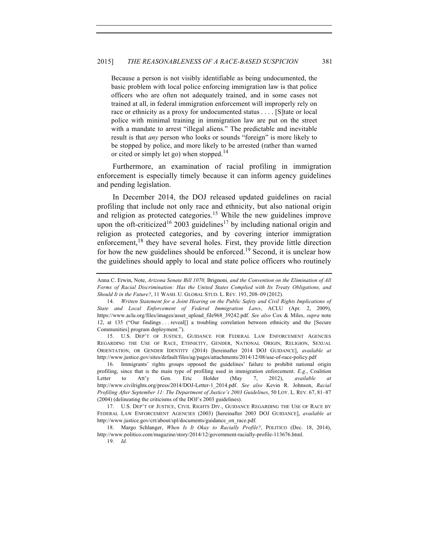Because a person is not visibly identifiable as being undocumented, the basic problem with local police enforcing immigration law is that police officers who are often not adequately trained, and in some cases not trained at all, in federal immigration enforcement will improperly rely on race or ethnicity as a proxy for undocumented status . . . . [S]tate or local police with minimal training in immigration law are put on the street with a mandate to arrest "illegal aliens." The predictable and inevitable result is that *any* person who looks or sounds "foreign" is more likely to be stopped by police, and more likely to be arrested (rather than warned or cited or simply let go) when stopped.<sup>14</sup>

Furthermore, an examination of racial profiling in immigration enforcement is especially timely because it can inform agency guidelines and pending legislation.

In December 2014, the DOJ released updated guidelines on racial profiling that include not only race and ethnicity, but also national origin and religion as protected categories.<sup>15</sup> While the new guidelines improve upon the oft-criticized<sup>16</sup> 2003 guidelines<sup>17</sup> by including national origin and religion as protected categories, and by covering interior immigration enforcement,<sup>18</sup> they have several holes. First, they provide little direction for how the new guidelines should be enforced.<sup>19</sup> Second, it is unclear how the guidelines should apply to local and state police officers who routinely

15. U.S. DEP'T OF JUSTICE, GUIDANCE FOR FEDERAL LAW ENFORCEMENT AGENCIES REGARDING THE USE OF RACE, ETHNICITY, GENDER, NATIONAL ORIGIN, RELIGION, SEXUAL ORIENTATION, OR GENDER IDENTITY (2014) [hereinafter 2014 DOJ GUIDANCE], *available at*  http://www.justice.gov/sites/default/files/ag/pages/attachments/2014/12/08/use-of-race-policy.pdf

16. Immigrants' rights groups opposed the guidelines' failure to prohibit national origin profiling, since that is the main type of profiling used in immigration enforcement. *E.g.*, Coalition Letter to Att'y Gen. Eric Holder (May 7, 2012), *available at*  http://www.civilrights.org/press/2014/DOJ-Letter-1\_2014.pdf. *See also* Kevin R. Johnson, *Racial Profiling After September 11: The Department of Justice's 2003 Guidelines*, 50 LOY. L. REV. 67, 81–87 (2004) (delineating the criticisms of the DOJ's 2003 guidelines).

17. U.S. DEP'T OF JUSTICE, CIVIL RIGHTS DIV., GUIDANCE REGARDING THE USE OF RACE BY FEDERAL LAW ENFORCEMENT AGENCIES (2003) [hereinafter 2003 DOJ GUIDANCE], *available at*  http://www.justice.gov/crt/about/spl/documents/guidance\_on\_race.pdf.

18. Margo Schlanger, *When Is It Okay to Racially Profile?*, POLITICO (Dec. 18, 2014), http://www.politico.com/magazine/story/2014/12/government-racially-profile-113676.html.

19. *Id.*

Anna C. Erwin, Note, *Arizona Senate Bill 1070,* Brignoni*, and the Convention on the Elimination of All Forms of Racial Discrimination: Has the United States Complied with Its Treaty Obligations, and Should It in the Future?*, 11 WASH. U. GLOBAL STUD. L. REV. 193, 208–09 (2012).

<sup>14.</sup> *Written Statement for a Joint Hearing on the Public Safety and Civil Rights Implications of State and Local Enforcement of Federal Immigration Laws*, ACLU (Apr. 2, 2009), https://www.aclu.org/files/images/asset\_upload\_file968\_39242.pdf. *See also* Cox & Miles, *supra* note 12, at 135 ("Our findings . . . reveal[] a troubling correlation between ethnicity and the [Secure Communities] program deployment.").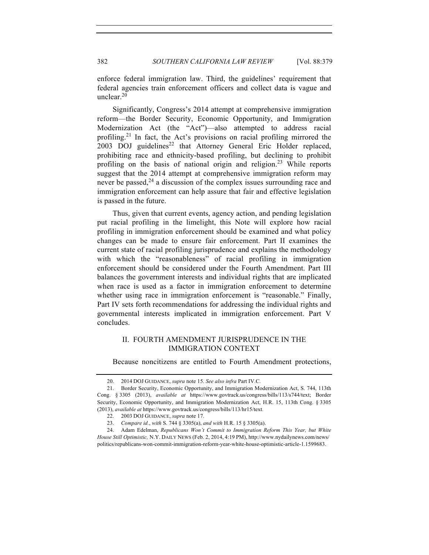enforce federal immigration law. Third, the guidelines' requirement that federal agencies train enforcement officers and collect data is vague and unclear.20

Significantly, Congress's 2014 attempt at comprehensive immigration reform—the Border Security, Economic Opportunity, and Immigration Modernization Act (the "Act")—also attempted to address racial profiling.<sup>21</sup> In fact, the Act's provisions on racial profiling mirrored the  $2003$  DOJ guidelines<sup>22</sup> that Attorney General Eric Holder replaced, prohibiting race and ethnicity-based profiling, but declining to prohibit profiling on the basis of national origin and religion.<sup>23</sup> While reports suggest that the 2014 attempt at comprehensive immigration reform may never be passed,  $24$  a discussion of the complex issues surrounding race and immigration enforcement can help assure that fair and effective legislation is passed in the future.

Thus, given that current events, agency action, and pending legislation put racial profiling in the limelight, this Note will explore how racial profiling in immigration enforcement should be examined and what policy changes can be made to ensure fair enforcement. Part II examines the current state of racial profiling jurisprudence and explains the methodology with which the "reasonableness" of racial profiling in immigration enforcement should be considered under the Fourth Amendment. Part III balances the government interests and individual rights that are implicated when race is used as a factor in immigration enforcement to determine whether using race in immigration enforcement is "reasonable." Finally, Part IV sets forth recommendations for addressing the individual rights and governmental interests implicated in immigration enforcement. Part V concludes.

# II. FOURTH AMENDMENT JURISPRUDENCE IN THE IMMIGRATION CONTEXT

Because noncitizens are entitled to Fourth Amendment protections,

<sup>20.</sup> 2014 DOJ GUIDANCE, *supra* note 15. *See also infra* Part IV.C.

<sup>21.</sup> Border Security, Economic Opportunity, and Immigration Modernization Act, S. 744, 113th Cong. § 3305 (2013), *available at* https://www.govtrack.us/congress/bills/113/s744/text; Border Security, Economic Opportunity, and Immigration Modernization Act, H.R. 15, 113th Cong. § 3305 (2013), *available at* https://www.govtrack.us/congress/bills/113/hr15/text.

<sup>22.</sup> 2003 DOJ GUIDANCE, *supra* note 17.

<sup>23.</sup> *Compare id.*, *with* S. 744 § 3305(a), *and with* H.R. 15 § 3305(a).

<sup>24.</sup> Adam Edelman, *Republicans Won't Commit to Immigration Reform This Year, but White House Still Optimistic,* N.Y. DAILY NEWS (Feb. 2, 2014, 4:19 PM), http://www.nydailynews.com/news/ politics/republicans-won-commit-immigration-reform-year-white-house-optimistic-article-1.1599683.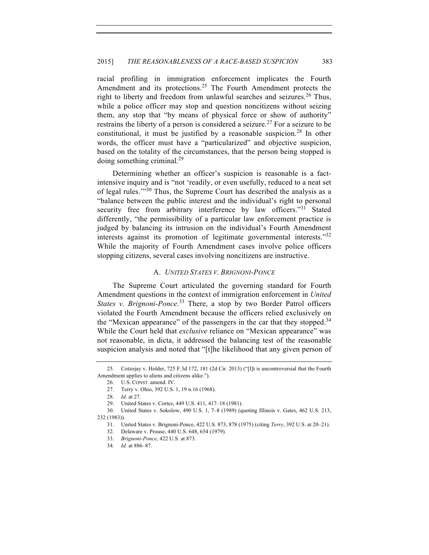racial profiling in immigration enforcement implicates the Fourth Amendment and its protections.<sup>25</sup> The Fourth Amendment protects the right to liberty and freedom from unlawful searches and seizures.<sup>26</sup> Thus, while a police officer may stop and question noncitizens without seizing them, any stop that "by means of physical force or show of authority" restrains the liberty of a person is considered a seizure.<sup>27</sup> For a seizure to be constitutional, it must be justified by a reasonable suspicion.<sup>28</sup> In other words, the officer must have a "particularized" and objective suspicion, based on the totality of the circumstances, that the person being stopped is doing something criminal.29

Determining whether an officer's suspicion is reasonable is a factintensive inquiry and is "not 'readily, or even usefully, reduced to a neat set of legal rules."<sup>30</sup> Thus, the Supreme Court has described the analysis as a "balance between the public interest and the individual's right to personal security free from arbitrary interference by law officers."<sup>31</sup> Stated differently, "the permissibility of a particular law enforcement practice is judged by balancing its intrusion on the individual's Fourth Amendment interests against its promotion of legitimate governmental interests."32 While the majority of Fourth Amendment cases involve police officers stopping citizens, several cases involving noncitizens are instructive.

### A. *UNITED STATES V. BRIGNONI-PONCE*

The Supreme Court articulated the governing standard for Fourth Amendment questions in the context of immigration enforcement in *United States v. Brignoni-Ponce*. <sup>33</sup> There, a stop by two Border Patrol officers violated the Fourth Amendment because the officers relied exclusively on the "Mexican appearance" of the passengers in the car that they stopped.<sup>34</sup> While the Court held that *exclusive* reliance on "Mexican appearance" was not reasonable, in dicta, it addressed the balancing test of the reasonable suspicion analysis and noted that "[t]he likelihood that any given person of

<sup>25.</sup> Cotzojay v. Holder, 725 F.3d 172, 181 (2d Cir. 2013) ("[I]t is uncontroversial that the Fourth Amendment applies to aliens and citizens alike.").

<sup>26.</sup> U.S. CONST. amend. IV.

<sup>27.</sup> Terry v. Ohio, 392 U.S. 1, 19 n.16 (1968).

<sup>28.</sup> *Id.* at 27.

<sup>29.</sup> United States v. Cortez, 449 U.S. 411, 417–18 (1981).

<sup>30.</sup> United States v. Sokolow, 490 U.S. 1, 7–8 (1989) (quoting Illinois v. Gates, 462 U.S. 213, 232 (1983)).

<sup>31.</sup> United States v. Brignoni-Ponce, 422 U.S. 873, 878 (1975) (citing *Terry*, 392 U.S. at 20–21).

<sup>32.</sup> Delaware v. Prouse, 440 U.S. 648, 654 (1979).

<sup>33.</sup> *Brignoni-Ponce*, 422 U.S. at 873.

<sup>34.</sup> *Id.* at 886–87.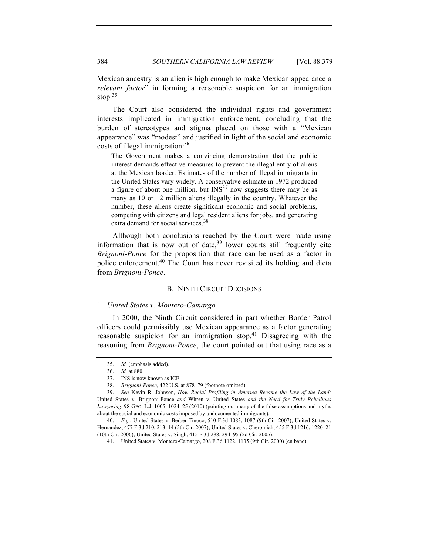Mexican ancestry is an alien is high enough to make Mexican appearance a *relevant factor*" in forming a reasonable suspicion for an immigration stop. $35$ 

The Court also considered the individual rights and government interests implicated in immigration enforcement, concluding that the burden of stereotypes and stigma placed on those with a "Mexican appearance" was "modest" and justified in light of the social and economic costs of illegal immigration:<sup>36</sup>

The Government makes a convincing demonstration that the public interest demands effective measures to prevent the illegal entry of aliens at the Mexican border. Estimates of the number of illegal immigrants in the United States vary widely. A conservative estimate in 1972 produced a figure of about one million, but  $INS<sup>37</sup>$  now suggests there may be as many as 10 or 12 million aliens illegally in the country. Whatever the number, these aliens create significant economic and social problems, competing with citizens and legal resident aliens for jobs, and generating extra demand for social services.<sup>38</sup>

Although both conclusions reached by the Court were made using information that is now out of date, $39$  lower courts still frequently cite *Brignoni-Ponce* for the proposition that race can be used as a factor in police enforcement.<sup>40</sup> The Court has never revisited its holding and dicta from *Brignoni-Ponce*.

## B. NINTH CIRCUIT DECISIONS

### 1. *United States v. Montero-Camargo*

In 2000, the Ninth Circuit considered in part whether Border Patrol officers could permissibly use Mexican appearance as a factor generating reasonable suspicion for an immigration stop.<sup>41</sup> Disagreeing with the reasoning from *Brignoni-Ponce*, the court pointed out that using race as a

<sup>35.</sup> *Id.* (emphasis added).

<sup>36.</sup> *Id.* at 880.

<sup>37.</sup> INS is now known as ICE.

<sup>38.</sup> *Brignoni-Ponce*, 422 U.S. at 878–79 (footnote omitted).

<sup>39.</sup> *See* Kevin R. Johnson, *How Racial Profiling in America Became the Law of the Land:*  United States v. Brignoni-Ponce *and* Whren v. United States *and the Need for Truly Rebellious Lawyering*, 98 GEO. L.J. 1005, 1024–25 (2010) (pointing out many of the false assumptions and myths about the social and economic costs imposed by undocumented immigrants).

<sup>40.</sup> *E.g.*, United States v. Berber-Tinoco, 510 F.3d 1083, 1087 (9th Cir. 2007); United States v. Hernandez, 477 F.3d 210, 213–14 (5th Cir. 2007); United States v. Cheromiah, 455 F.3d 1216, 1220–21 (10th Cir. 2006); United States v. Singh, 415 F.3d 288, 294–95 (2d Cir. 2005).

<sup>41.</sup> United States v. Montero-Camargo, 208 F.3d 1122, 1135 (9th Cir. 2000) (en banc).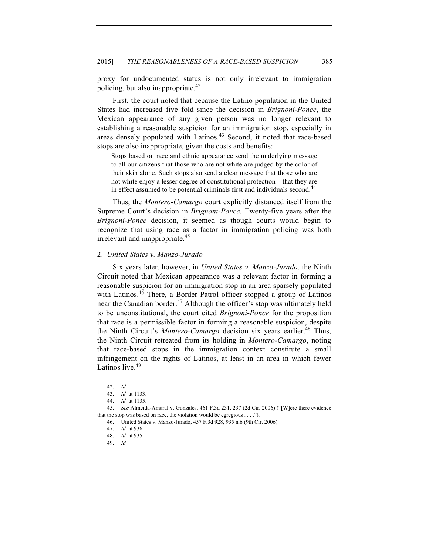proxy for undocumented status is not only irrelevant to immigration policing, but also inappropriate.<sup>42</sup>

First, the court noted that because the Latino population in the United States had increased five fold since the decision in *Brignoni-Ponce*, the Mexican appearance of any given person was no longer relevant to establishing a reasonable suspicion for an immigration stop, especially in areas densely populated with Latinos.<sup>43</sup> Second, it noted that race-based stops are also inappropriate, given the costs and benefits:

Stops based on race and ethnic appearance send the underlying message to all our citizens that those who are not white are judged by the color of their skin alone. Such stops also send a clear message that those who are not white enjoy a lesser degree of constitutional protection—that they are in effect assumed to be potential criminals first and individuals second.<sup>44</sup>

Thus, the *Montero-Camargo* court explicitly distanced itself from the Supreme Court's decision in *Brignoni-Ponce.* Twenty-five years after the *Brignoni-Ponce* decision, it seemed as though courts would begin to recognize that using race as a factor in immigration policing was both irrelevant and inappropriate.45

### 2. *United States v. Manzo-Jurado*

Six years later, however, in *United States v. Manzo-Jurado*, the Ninth Circuit noted that Mexican appearance was a relevant factor in forming a reasonable suspicion for an immigration stop in an area sparsely populated with Latinos.<sup>46</sup> There, a Border Patrol officer stopped a group of Latinos near the Canadian border.<sup>47</sup> Although the officer's stop was ultimately held to be unconstitutional, the court cited *Brignoni-Ponce* for the proposition that race is a permissible factor in forming a reasonable suspicion, despite the Ninth Circuit's *Montero-Camargo* decision six years earlier.<sup>48</sup> Thus, the Ninth Circuit retreated from its holding in *Montero-Camargo*, noting that race-based stops in the immigration context constitute a small infringement on the rights of Latinos, at least in an area in which fewer Latinos live.<sup>49</sup>

<sup>42.</sup> *Id.*

<sup>43.</sup> *Id.* at 1133.

<sup>44.</sup> *Id.* at 1135.

<sup>45.</sup> *See* Almeida-Amaral v. Gonzales, 461 F.3d 231, 237 (2d Cir. 2006) ("[W]ere there evidence that the stop was based on race, the violation would be egregious . . . .").

<sup>46.</sup> United States v. Manzo-Jurado, 457 F.3d 928, 935 n.6 (9th Cir. 2006).

<sup>47.</sup> *Id.* at 936.

<sup>48.</sup> *Id.* at 935.

<sup>49.</sup> *Id.*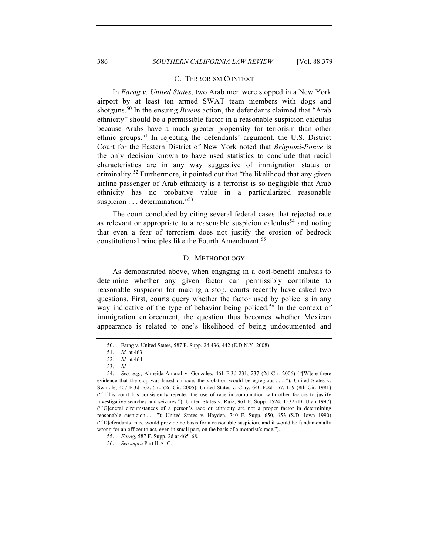# 386 *SOUTHERN CALIFORNIA LAW REVIEW* [Vol. 88:379

### C. TERRORISM CONTEXT

In *Farag v. United States*, two Arab men were stopped in a New York airport by at least ten armed SWAT team members with dogs and shotguns.<sup>50</sup> In the ensuing *Bivens* action, the defendants claimed that "Arab" ethnicity" should be a permissible factor in a reasonable suspicion calculus because Arabs have a much greater propensity for terrorism than other ethnic groups.<sup>51</sup> In rejecting the defendants' argument, the U.S. District Court for the Eastern District of New York noted that *Brignoni-Ponce* is the only decision known to have used statistics to conclude that racial characteristics are in any way suggestive of immigration status or criminality.<sup>52</sup> Furthermore, it pointed out that "the likelihood that any given airline passenger of Arab ethnicity is a terrorist is so negligible that Arab ethnicity has no probative value in a particularized reasonable suspicion . . . determination."<sup>53</sup>

The court concluded by citing several federal cases that rejected race as relevant or appropriate to a reasonable suspicion calculus<sup>54</sup> and noting that even a fear of terrorism does not justify the erosion of bedrock constitutional principles like the Fourth Amendment.<sup>55</sup>

## D. METHODOLOGY

As demonstrated above, when engaging in a cost-benefit analysis to determine whether any given factor can permissibly contribute to reasonable suspicion for making a stop, courts recently have asked two questions. First, courts query whether the factor used by police is in any way indicative of the type of behavior being policed.<sup>56</sup> In the context of immigration enforcement, the question thus becomes whether Mexican appearance is related to one's likelihood of being undocumented and

<sup>50.</sup> Farag v. United States, 587 F. Supp. 2d 436, 442 (E.D.N.Y. 2008).

<sup>51.</sup> *Id.* at 463.

<sup>52</sup>*. Id.* at 464.

<sup>53.</sup> *Id.*

<sup>54.</sup> *See, e.g.*, Almeida-Amaral v. Gonzales, 461 F.3d 231, 237 (2d Cir. 2006) ("[W]ere there evidence that the stop was based on race, the violation would be egregious . . . ."); United States v. Swindle, 407 F.3d 562, 570 (2d Cir. 2005); United States v. Clay, 640 F.2d 157, 159 (8th Cir. 1981) ("[T]his court has consistently rejected the use of race in combination with other factors to justify investigative searches and seizures."); United States v. Ruiz, 961 F. Supp. 1524, 1532 (D. Utah 1997) ("[G]eneral circumstances of a person's race or ethnicity are not a proper factor in determining reasonable suspicion . . . ."); United States v. Hayden, 740 F. Supp. 650, 653 (S.D. Iowa 1990) ("[D]efendants' race would provide no basis for a reasonable suspicion, and it would be fundamentally wrong for an officer to act, even in small part, on the basis of a motorist's race.").

<sup>55.</sup> *Farag*, 587 F. Supp. 2d at 465–68.

<sup>56.</sup> *See supra* Part II.A–C.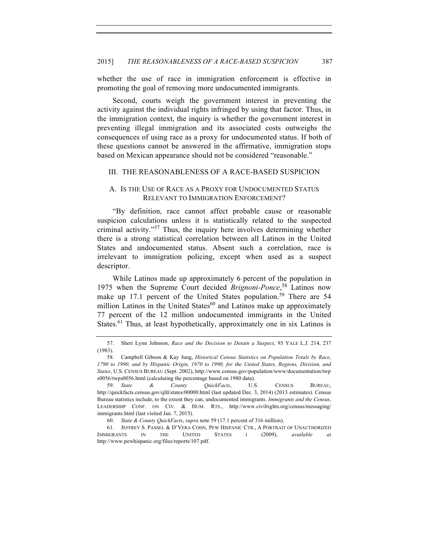whether the use of race in immigration enforcement is effective in promoting the goal of removing more undocumented immigrants.

Second, courts weigh the government interest in preventing the activity against the individual rights infringed by using that factor. Thus, in the immigration context, the inquiry is whether the government interest in preventing illegal immigration and its associated costs outweighs the consequences of using race as a proxy for undocumented status. If both of these questions cannot be answered in the affirmative, immigration stops based on Mexican appearance should not be considered "reasonable."

### III. THE REASONABLENESS OF A RACE-BASED SUSPICION

# A. IS THE USE OF RACE AS A PROXY FOR UNDOCUMENTED STATUS RELEVANT TO IMMIGRATION ENFORCEMENT?

"By definition, race cannot affect probable cause or reasonable suspicion calculations unless it is statistically related to the suspected criminal activity."<sup>57</sup> Thus, the inquiry here involves determining whether there is a strong statistical correlation between all Latinos in the United States and undocumented status. Absent such a correlation, race is irrelevant to immigration policing, except when used as a suspect descriptor.

While Latinos made up approximately 6 percent of the population in 1975 when the Supreme Court decided *Brignoni-Ponce*, <sup>58</sup> Latinos now make up 17.1 percent of the United States population.<sup>59</sup> There are 54 million Latinos in the United States $60$  and Latinos make up approximately 77 percent of the 12 million undocumented immigrants in the United States.<sup>61</sup> Thus, at least hypothetically, approximately one in six Latinos is

<sup>57.</sup> Sheri Lynn Johnson, *Race and the Decision to Detain a Suspect*, 93 YALE L.J. 214, 237 (1983).

<sup>58.</sup> Campbell Gibson & Kay Jung, *Historical Census Statistics on Population Totals by Race, 1790 to 1990, and by Hispanic Origin, 1970 to 1990, for the United States, Regions, Division, and States*, U.S. CENSUS BUREAU (Sept. 2002), http://www.census.gov/population/www/documentation/twp s0056/twps0056.html (calculating the percentage based on 1980 data).

<sup>59.</sup> *State & County QuickFacts*, U.S. CENSUS BUREAU, http://quickfacts.census.gov/qfd/states/00000.html (last updated Dec. 3, 2014) (2013 estimates). Census Bureau statistics include, to the extent they can, undocumented immigrants. *Immigrants and the Census*, LEADERSHIP CONF. ON CIV. & HUM. RTS., http://www.civilrights.org/census/messaging/ immigrants.html (last visited Jan. 7, 2015).

<sup>60.</sup> *State & County QuickFacts*, *supra* note 59 (17.1 percent of 316 million).

<sup>61.</sup> JEFFREY S. PASSEL & D'VERA COHN, PEW HISPANIC CTR., A PORTRAIT OF UNAUTHORIZED IMMIGRANTS IN THE UNITED STATES i (2009), *available at* http://www.pewhispanic.org/files/reports/107.pdf.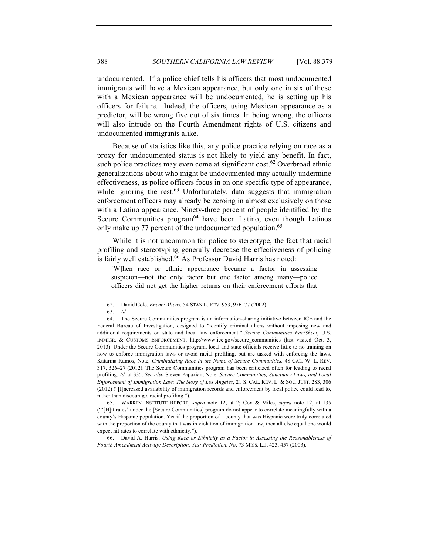undocumented. If a police chief tells his officers that most undocumented immigrants will have a Mexican appearance, but only one in six of those with a Mexican appearance will be undocumented, he is setting up his officers for failure. Indeed, the officers, using Mexican appearance as a predictor, will be wrong five out of six times. In being wrong, the officers will also intrude on the Fourth Amendment rights of U.S. citizens and undocumented immigrants alike.

Because of statistics like this, any police practice relying on race as a proxy for undocumented status is not likely to yield any benefit. In fact, such police practices may even come at significant cost.<sup>62</sup> Overbroad ethnic generalizations about who might be undocumented may actually undermine effectiveness, as police officers focus in on one specific type of appearance, while ignoring the rest. $63$  Unfortunately, data suggests that immigration enforcement officers may already be zeroing in almost exclusively on those with a Latino appearance. Ninety-three percent of people identified by the Secure Communities program<sup>64</sup> have been Latino, even though Latinos only make up 77 percent of the undocumented population.<sup>65</sup>

While it is not uncommon for police to stereotype, the fact that racial profiling and stereotyping generally decrease the effectiveness of policing is fairly well established.<sup>66</sup> As Professor David Harris has noted:

[W]hen race or ethnic appearance became a factor in assessing suspicion—not the only factor but one factor among many—police officers did not get the higher returns on their enforcement efforts that

65. WARREN INSTITUTE REPORT, *supra* note 12, at 2; Cox & Miles, *supra* note 12, at 135 ("'[H]it rates' under the [Secure Communities] program do not appear to correlate meaningfully with a county's Hispanic population. Yet if the proportion of a county that was Hispanic were truly correlated with the proportion of the county that was in violation of immigration law, then all else equal one would expect hit rates to correlate with ethnicity.").

66. David A. Harris, *Using Race or Ethnicity as a Factor in Assessing the Reasonableness of Fourth Amendment Activity: Description, Yes; Prediction, No*, 73 MISS. L.J. 423, 457 (2003).

<sup>62.</sup> David Cole, *Enemy Aliens*, 54 STAN L. REV. 953, 976–77 (2002).

<sup>63.</sup> *Id.*

<sup>64.</sup> The Secure Communities program is an information-sharing initiative between ICE and the Federal Bureau of Investigation, designed to "identify criminal aliens without imposing new and additional requirements on state and local law enforcement." *Secure Communities FactSheet*, U.S. IMMIGR. & CUSTOMS ENFORCEMENT, http://www.ice.gov/secure\_communities (last visited Oct. 3, 2013). Under the Secure Communities program, local and state officials receive little to no training on how to enforce immigration laws or avoid racial profiling, but are tasked with enforcing the laws. Katarina Ramos, Note, *Criminalizing Race in the Name of Secure Communities,* 48 CAL. W. L. REV. 317, 326–27 (2012). The Secure Communities program has been criticized often for leading to racial profiling. *Id.* at 335. *See also* Steven Papazian, Note, *Secure Communities, Sanctuary Laws, and Local Enforcement of Immigration Law: The Story of Los Angeles*, 21 S. CAL. REV. L. & SOC. JUST. 283, 306 (2012) ("[I]ncreased availability of immigration records and enforcement by local police could lead to, rather than discourage, racial profiling.").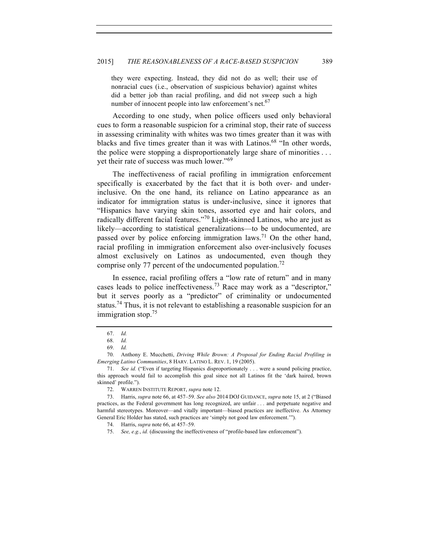they were expecting. Instead, they did not do as well; their use of nonracial cues (i.e., observation of suspicious behavior) against whites did a better job than racial profiling, and did not sweep such a high number of innocent people into law enforcement's net.<sup>67</sup>

According to one study, when police officers used only behavioral cues to form a reasonable suspicion for a criminal stop, their rate of success in assessing criminality with whites was two times greater than it was with blacks and five times greater than it was with Latinos.<sup>68</sup> "In other words, the police were stopping a disproportionately large share of minorities . . . yet their rate of success was much lower."<sup>69</sup>

The ineffectiveness of racial profiling in immigration enforcement specifically is exacerbated by the fact that it is both over- and underinclusive. On the one hand, its reliance on Latino appearance as an indicator for immigration status is under-inclusive, since it ignores that "Hispanics have varying skin tones, assorted eye and hair colors, and radically different facial features."<sup>70</sup> Light-skinned Latinos, who are just as likely—according to statistical generalizations—to be undocumented, are passed over by police enforcing immigration laws.<sup>71</sup> On the other hand, racial profiling in immigration enforcement also over-inclusively focuses almost exclusively on Latinos as undocumented, even though they comprise only 77 percent of the undocumented population.<sup>72</sup>

In essence, racial profiling offers a "low rate of return" and in many cases leads to police ineffectiveness.<sup>73</sup> Race may work as a "descriptor," but it serves poorly as a "predictor" of criminality or undocumented status.<sup>74</sup> Thus, it is not relevant to establishing a reasonable suspicion for an immigration stop.<sup>75</sup>

<sup>67.</sup> *Id.*

<sup>68.</sup> *Id.*

<sup>69.</sup> *Id.*

<sup>70.</sup> Anthony E. Mucchetti, *Driving While Brown: A Proposal for Ending Racial Profiling in Emerging Latino Communities*, 8 HARV. LATINO L. REV. 1, 19 (2005).

<sup>71.</sup> *See id.* ("Even if targeting Hispanics disproportionately . . . were a sound policing practice, this approach would fail to accomplish this goal since not all Latinos fit the 'dark haired, brown skinned' profile.").

<sup>72.</sup> WARREN INSTITUTE REPORT, *supra* note 12.

<sup>73.</sup> Harris, *supra* note 66, at 457–59. *See also* 2014 DOJ GUIDANCE, *supra* note 15, at 2 ("Biased practices, as the Federal government has long recognized, are unfair . . . and perpetuate negative and harmful stereotypes. Moreover—and vitally important—biased practices are ineffective. As Attorney General Eric Holder has stated, such practices are 'simply not good law enforcement.'").

<sup>74.</sup> Harris, *supra* note 66, at 457–59.

<sup>75.</sup> *See, e.g.*, *id.* (discussing the ineffectiveness of "profile-based law enforcement").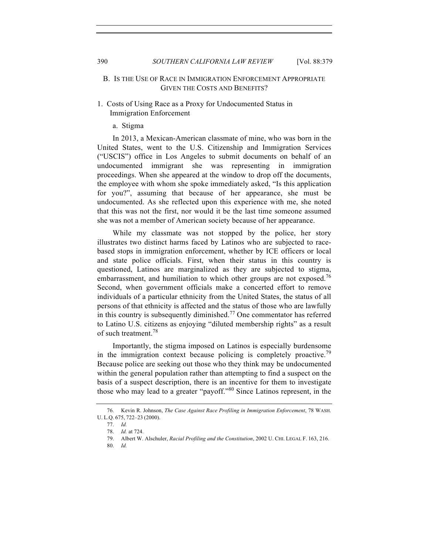# B. IS THE USE OF RACE IN IMMIGRATION ENFORCEMENT APPROPRIATE GIVEN THE COSTS AND BENEFITS?

# 1. Costs of Using Race as a Proxy for Undocumented Status in Immigration Enforcement

### a. Stigma

In 2013, a Mexican-American classmate of mine, who was born in the United States, went to the U.S. Citizenship and Immigration Services ("USCIS") office in Los Angeles to submit documents on behalf of an undocumented immigrant she was representing in immigration proceedings. When she appeared at the window to drop off the documents, the employee with whom she spoke immediately asked, "Is this application for you?", assuming that because of her appearance, she must be undocumented. As she reflected upon this experience with me, she noted that this was not the first, nor would it be the last time someone assumed she was not a member of American society because of her appearance.

While my classmate was not stopped by the police, her story illustrates two distinct harms faced by Latinos who are subjected to racebased stops in immigration enforcement, whether by ICE officers or local and state police officials. First, when their status in this country is questioned, Latinos are marginalized as they are subjected to stigma, embarrassment, and humiliation to which other groups are not exposed.<sup>76</sup> Second, when government officials make a concerted effort to remove individuals of a particular ethnicity from the United States, the status of all persons of that ethnicity is affected and the status of those who are lawfully in this country is subsequently diminished.<sup>77</sup> One commentator has referred to Latino U.S. citizens as enjoying "diluted membership rights" as a result of such treatment.<sup>78</sup>

Importantly, the stigma imposed on Latinos is especially burdensome in the immigration context because policing is completely proactive.<sup>79</sup> Because police are seeking out those who they think may be undocumented within the general population rather than attempting to find a suspect on the basis of a suspect description, there is an incentive for them to investigate those who may lead to a greater "payoff."<sup>80</sup> Since Latinos represent, in the

<sup>76.</sup> Kevin R. Johnson, *The Case Against Race Profiling in Immigration Enforcement*, 78 WASH. U. L.Q. 675, 722–23 (2000).

<sup>77.</sup> *Id.*

<sup>78.</sup> *Id.* at 724.

<sup>79.</sup> Albert W. Alschuler, *Racial Profiling and the Constitution*, 2002 U. CHI. LEGAL F. 163, 216.

<sup>80.</sup> *Id.*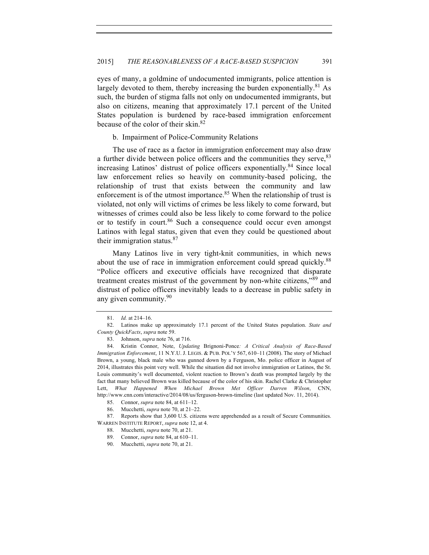eyes of many, a goldmine of undocumented immigrants, police attention is largely devoted to them, thereby increasing the burden exponentially.<sup>81</sup> As such, the burden of stigma falls not only on undocumented immigrants, but also on citizens, meaning that approximately 17.1 percent of the United States population is burdened by race-based immigration enforcement because of the color of their skin.<sup>82</sup>

b. Impairment of Police-Community Relations

The use of race as a factor in immigration enforcement may also draw a further divide between police officers and the communities they serve, <sup>83</sup> increasing Latinos' distrust of police officers exponentially.<sup>84</sup> Since local law enforcement relies so heavily on community-based policing, the relationship of trust that exists between the community and law enforcement is of the utmost importance.<sup>85</sup> When the relationship of trust is violated, not only will victims of crimes be less likely to come forward, but witnesses of crimes could also be less likely to come forward to the police or to testify in court.<sup>86</sup> Such a consequence could occur even amongst Latinos with legal status, given that even they could be questioned about their immigration status. $87$ 

Many Latinos live in very tight-knit communities, in which news about the use of race in immigration enforcement could spread quickly.<sup>88</sup> "Police officers and executive officials have recognized that disparate treatment creates mistrust of the government by non-white citizens,"<sup>89</sup> and distrust of police officers inevitably leads to a decrease in public safety in any given community.<sup>90</sup>

<sup>81.</sup> *Id.* at 214–16.

<sup>82.</sup> Latinos make up approximately 17.1 percent of the United States population. *State and County QuickFacts*, *supra* note 59.

<sup>83.</sup> Johnson, *supra* note 76, at 716.

<sup>84.</sup> Kristin Connor, Note, *Updating* Brignoni-Ponce*: A Critical Analysis of Race-Based Immigration Enforcement*, 11 N.Y.U. J. LEGIS. & PUB. POL'Y 567, 610–11 (2008). The story of Michael Brown, a young, black male who was gunned down by a Ferguson, Mo. police officer in August of 2014, illustrates this point very well. While the situation did not involve immigration or Latinos, the St. Louis community's well documented, violent reaction to Brown's death was prompted largely by the fact that many believed Brown was killed because of the color of his skin. Rachel Clarke & Christopher Lett, *What Happened When Michael Brown Met Officer Darren Wilson*, CNN, http://www.cnn.com/interactive/2014/08/us/ferguson-brown-timeline (last updated Nov. 11, 2014).

<sup>85.</sup> Connor, *supra* note 84, at 611–12.

<sup>86.</sup> Mucchetti, *supra* note 70, at 21–22.

<sup>87.</sup> Reports show that 3,600 U.S. citizens were apprehended as a result of Secure Communities. WARREN INSTITUTE REPORT, *supra* note 12, at 4.

<sup>88.</sup> Mucchetti, *supra* note 70, at 21.

<sup>89.</sup> Connor, *supra* note 84, at 610–11.

<sup>90.</sup> Mucchetti, *supra* note 70, at 21.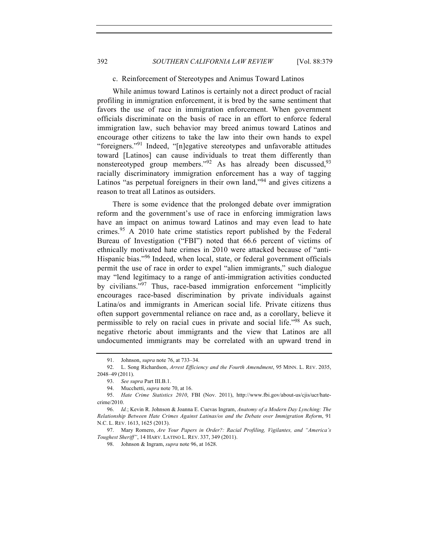### c. Reinforcement of Stereotypes and Animus Toward Latinos

While animus toward Latinos is certainly not a direct product of racial profiling in immigration enforcement, it is bred by the same sentiment that favors the use of race in immigration enforcement. When government officials discriminate on the basis of race in an effort to enforce federal immigration law, such behavior may breed animus toward Latinos and encourage other citizens to take the law into their own hands to expel "foreigners."<sup>91</sup> Indeed, "[n]egative stereotypes and unfavorable attitudes toward [Latinos] can cause individuals to treat them differently than nonstereotyped group members." $92$  As has already been discussed.  $93$ racially discriminatory immigration enforcement has a way of tagging Latinos "as perpetual foreigners in their own land,"<sup>94</sup> and gives citizens a reason to treat all Latinos as outsiders.

There is some evidence that the prolonged debate over immigration reform and the government's use of race in enforcing immigration laws have an impact on animus toward Latinos and may even lead to hate crimes.<sup>95</sup> A 2010 hate crime statistics report published by the Federal Bureau of Investigation ("FBI") noted that 66.6 percent of victims of ethnically motivated hate crimes in 2010 were attacked because of "anti-Hispanic bias."<sup>96</sup> Indeed, when local, state, or federal government officials permit the use of race in order to expel "alien immigrants," such dialogue may "lend legitimacy to a range of anti-immigration activities conducted by civilians."<sup>97</sup> Thus, race-based immigration enforcement "implicitly encourages race-based discrimination by private individuals against Latina/os and immigrants in American social life. Private citizens thus often support governmental reliance on race and, as a corollary, believe it permissible to rely on racial cues in private and social life."98 As such, negative rhetoric about immigrants and the view that Latinos are all undocumented immigrants may be correlated with an upward trend in

<sup>91.</sup> Johnson, *supra* note 76, at 733–34.

<sup>92.</sup> L. Song Richardson, *Arrest Efficiency and the Fourth Amendment*, 95 MINN. L. REV. 2035, 2048–49 (2011).

<sup>93.</sup> *See supra* Part III.B.1.

<sup>94.</sup> Mucchetti, *supra* note 70, at 16.

<sup>95.</sup> *Hate Crime Statistics 2010*, FBI (Nov. 2011), http://www.fbi.gov/about-us/cjis/ucr/hatecrime/2010.

<sup>96.</sup> *Id.*; Kevin R. Johnson & Joanna E. Cuevas Ingram, *Anatomy of a Modern Day Lynching: The Relationship Between Hate Crimes Against Latinas/os and the Debate over Immigration Reform*, 91 N.C. L. REV. 1613, 1625 (2013).

<sup>97.</sup> Mary Romero, *Are Your Papers in Order?: Racial Profiling, Vigilantes, and "America's Toughest Sheriff"*, 14 HARV. LATINO L. REV. 337, 349 (2011).

<sup>98.</sup> Johnson & Ingram, *supra* note 96, at 1628.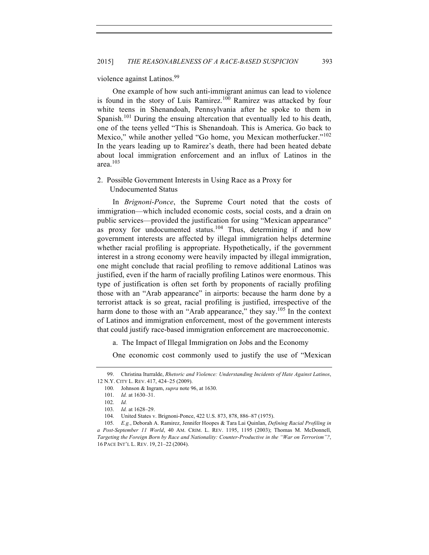violence against Latinos.<sup>99</sup>

One example of how such anti-immigrant animus can lead to violence is found in the story of Luis Ramirez.<sup>100</sup> Ramirez was attacked by four white teens in Shenandoah, Pennsylvania after he spoke to them in Spanish.<sup>101</sup> During the ensuing altercation that eventually led to his death, one of the teens yelled "This is Shenandoah. This is America. Go back to Mexico," while another yelled "Go home, you Mexican motherfucker."<sup>102</sup> In the years leading up to Ramirez's death, there had been heated debate about local immigration enforcement and an influx of Latinos in the area. $103$ 

2. Possible Government Interests in Using Race as a Proxy for Undocumented Status

In *Brignoni-Ponce*, the Supreme Court noted that the costs of immigration—which included economic costs, social costs, and a drain on public services—provided the justification for using "Mexican appearance" as proxy for undocumented status.<sup>104</sup> Thus, determining if and how government interests are affected by illegal immigration helps determine whether racial profiling is appropriate. Hypothetically, if the government interest in a strong economy were heavily impacted by illegal immigration, one might conclude that racial profiling to remove additional Latinos was justified, even if the harm of racially profiling Latinos were enormous. This type of justification is often set forth by proponents of racially profiling those with an "Arab appearance" in airports: because the harm done by a terrorist attack is so great, racial profiling is justified, irrespective of the harm done to those with an "Arab appearance," they say.<sup>105</sup> In the context of Latinos and immigration enforcement, most of the government interests that could justify race-based immigration enforcement are macroeconomic.

a. The Impact of Illegal Immigration on Jobs and the Economy

One economic cost commonly used to justify the use of "Mexican

<sup>99.</sup> Christina Iturralde, *Rhetoric and Violence: Understanding Incidents of Hate Against Latinos*, 12 N.Y. CITY L. REV. 417, 424–25 (2009).

<sup>100.</sup> Johnson & Ingram, *supra* note 96, at 1630.

<sup>101.</sup> *Id.* at 1630–31.

<sup>102.</sup> *Id.*

<sup>103.</sup> *Id.* at 1628–29.

<sup>104.</sup> United States v. Brignoni-Ponce, 422 U.S. 873, 878, 886–87 (1975).

<sup>105.</sup> *E.g.*, Deborah A. Ramirez, Jennifer Hoopes & Tara Lai Quinlan, *Defining Racial Profiling in a Post-September 11 World*, 40 AM. CRIM. L. REV. 1195, 1195 (2003); Thomas M. McDonnell, *Targeting the Foreign Born by Race and Nationality: Counter-Productive in the "War on Terrorism"?*, 16 PACE INT'L L. REV. 19, 21–22 (2004).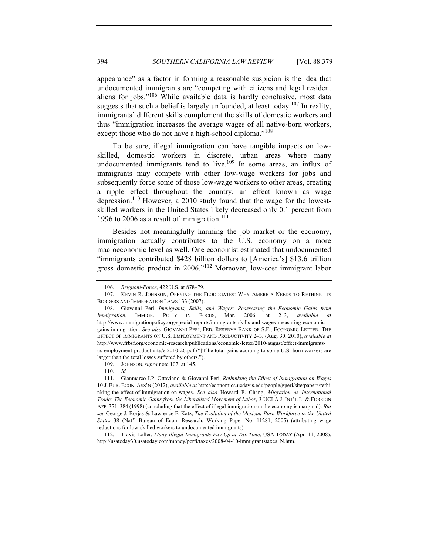appearance" as a factor in forming a reasonable suspicion is the idea that undocumented immigrants are "competing with citizens and legal resident aliens for jobs."<sup>106</sup> While available data is hardly conclusive, most data suggests that such a belief is largely unfounded, at least today.<sup>107</sup> In reality, immigrants' different skills complement the skills of domestic workers and thus "immigration increases the average wages of all native-born workers, except those who do not have a high-school diploma."<sup>108</sup>

To be sure, illegal immigration can have tangible impacts on lowskilled, domestic workers in discrete, urban areas where many undocumented immigrants tend to live.<sup>109</sup> In some areas, an influx of immigrants may compete with other low-wage workers for jobs and subsequently force some of those low-wage workers to other areas, creating a ripple effect throughout the country, an effect known as wage depression.110 However, a 2010 study found that the wage for the lowestskilled workers in the United States likely decreased only 0.1 percent from 1996 to 2006 as a result of immigration.<sup>111</sup>

Besides not meaningfully harming the job market or the economy, immigration actually contributes to the U.S. economy on a more macroeconomic level as well. One economist estimated that undocumented "immigrants contributed \$428 billion dollars to [America's] \$13.6 trillion gross domestic product in 2006."<sup>112</sup> Moreover, low-cost immigrant labor

112. Travis Loller, *Many Illegal Immigrants Pay Up at Tax Time*, USA TODAY (Apr. 11, 2008), http://usatoday30.usatoday.com/money/perfi/taxes/2008-04-10-immigrantstaxes\_N.htm.

<sup>106.</sup> *Brignoni-Ponce*, 422 U.S. at 878–79.

<sup>107.</sup> KEVIN R. JOHNSON, OPENING THE FLOODGATES: WHY AMERICA NEEDS TO RETHINK ITS BORDERS AND IMMIGRATION LAWS 133 (2007).

<sup>108.</sup> Giovanni Peri, *Immigrants, Skills, and Wages: Reassessing the Economic Gains from Immigration*, IMMIGR. POL'Y IN FOCUS, Mar. 2006, at 2–3, *available at* http://www.immigrationpolicy.org/special-reports/immigrants-skills-and-wages-measuring-economicgains-immigration. *See also* GIOVANNI PERI, FED. RESERVE BANK OF S.F., ECONOMIC LETTER: THE EFFECT OF IMMIGRANTS ON U.S. EMPLOYMENT AND PRODUCTIVITY 2–3, (Aug. 30, 2010), *available at*  http://www.frbsf.org/economic-research/publications/economic-letter/2010/august/effect-immigrantsus-employment-productivity/el2010-26.pdf ("[T]he total gains accruing to some U.S.-born workers are larger than the total losses suffered by others.").

<sup>109.</sup> JOHNSON, *supra* note 107, at 145.

<sup>110.</sup> *Id.*

<sup>111.</sup> Gianmarco I.P. Ottaviano & Giovanni Peri, *Rethinking the Effect of Immigration on Wages* 10 J. EUR. ECON. ASS'N (2012), *available at* http://economics.ucdavis.edu/people/gperi/site/papers/rethi nking-the-effect-of-immigration-on-wages. *See also* Howard F. Chang, *Migration as International Trade: The Economic Gains from the Liberalized Movement of Labor*, 3 UCLA J. INT'L L. & FOREIGN AFF. 371, 384 (1998) (concluding that the effect of illegal immigration on the economy is marginal). *But see* George J. Borjas & Lawrence F. Katz, *The Evolution of the Mexican-Born Workforce in the United States* 38 (Nat'l Bureau of Econ. Research, Working Paper No. 11281, 2005) (attributing wage reductions for low-skilled workers to undocumented immigrants).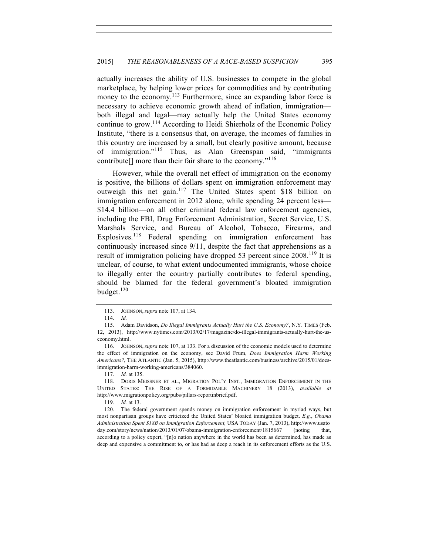actually increases the ability of U.S. businesses to compete in the global marketplace, by helping lower prices for commodities and by contributing money to the economy.<sup>113</sup> Furthermore, since an expanding labor force is necessary to achieve economic growth ahead of inflation, immigration both illegal and legal—may actually help the United States economy continue to grow.<sup>114</sup> According to Heidi Shierholz of the Economic Policy Institute, "there is a consensus that, on average, the incomes of families in this country are increased by a small, but clearly positive amount, because of immigration."<sup>115</sup> Thus, as Alan Greenspan said, "immigrants contribute<sup>[]</sup> more than their fair share to the economy."<sup>116</sup>

However, while the overall net effect of immigration on the economy is positive, the billions of dollars spent on immigration enforcement may outweigh this net gain.<sup>117</sup> The United States spent \$18 billion on immigration enforcement in 2012 alone, while spending 24 percent less— \$14.4 billion—on all other criminal federal law enforcement agencies, including the FBI, Drug Enforcement Administration, Secret Service, U.S. Marshals Service, and Bureau of Alcohol, Tobacco, Firearms, and Explosives.<sup>118</sup> Federal spending on immigration enforcement has continuously increased since 9/11, despite the fact that apprehensions as a result of immigration policing have dropped 53 percent since 2008.<sup>119</sup> It is unclear, of course, to what extent undocumented immigrants, whose choice to illegally enter the country partially contributes to federal spending, should be blamed for the federal government's bloated immigration budget. $120$ 

119. *Id.* at 13.

120. The federal government spends money on immigration enforcement in myriad ways, but most nonpartisan groups have criticized the United States' bloated immigration budget. *E.g.*, *Obama Administration Spent \$18B on Immigration Enforcement,* USA TODAY (Jan. 7, 2013), http://www.usato day.com/story/news/nation/2013/01/07/obama-immigration-enforcement/1815667 (noting that, according to a policy expert, "[n]o nation anywhere in the world has been as determined, has made as deep and expensive a commitment to, or has had as deep a reach in its enforcement efforts as the U.S.

<sup>113.</sup> JOHNSON, *supra* note 107, at 134.

<sup>114.</sup> *Id.*

<sup>115.</sup> Adam Davidson, *Do Illegal Immigrants Actually Hurt the U.S. Economy?*, N.Y. TIMES (Feb. 12, 2013), http://www.nytimes.com/2013/02/17/magazine/do-illegal-immigrants-actually-hurt-the-useconomy.html.

<sup>116.</sup> JOHNSON, *supra* note 107, at 133. For a discussion of the economic models used to determine the effect of immigration on the economy, see David Frum, *Does Immigration Harm Working Americans?*, THE ATLANTIC (Jan. 5, 2015), http://www.theatlantic.com/business/archive/2015/01/doesimmigration-harm-working-americans/384060.

<sup>117.</sup> *Id.* at 135.

<sup>118.</sup> DORIS MEISSNER ET AL., MIGRATION POL'Y INST., IMMIGRATION ENFORCEMENT IN THE UNITED STATES: THE RISE OF A FORMIDABLE MACHINERY 18 (2013), *available at*  http://www.migrationpolicy.org/pubs/pillars-reportinbrief.pdf.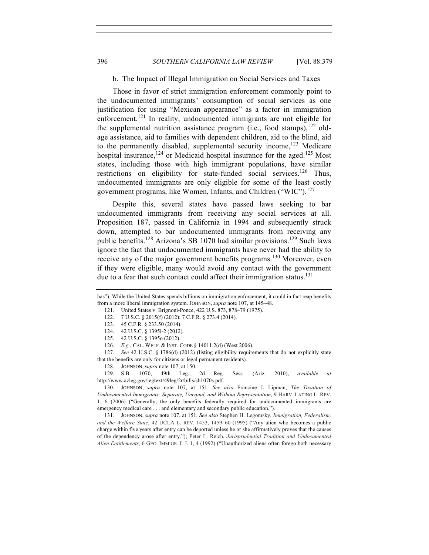### b. The Impact of Illegal Immigration on Social Services and Taxes

Those in favor of strict immigration enforcement commonly point to the undocumented immigrants' consumption of social services as one justification for using "Mexican appearance" as a factor in immigration enforcement.<sup>121</sup> In reality, undocumented immigrants are not eligible for the supplemental nutrition assistance program (i.e., food stamps), $122$  oldage assistance, aid to families with dependent children, aid to the blind, aid to the permanently disabled, supplemental security income,  $123$  Medicare hospital insurance,<sup>124</sup> or Medicaid hospital insurance for the aged.<sup>125</sup> Most states, including those with high immigrant populations, have similar restrictions on eligibility for state-funded social services.<sup>126</sup> Thus, undocumented immigrants are only eligible for some of the least costly government programs, like Women, Infants, and Children ("WIC").<sup>127</sup>

Despite this, several states have passed laws seeking to bar undocumented immigrants from receiving any social services at all. Proposition 187, passed in California in 1994 and subsequently struck down, attempted to bar undocumented immigrants from receiving any public benefits.<sup>128</sup> Arizona's SB 1070 had similar provisions.<sup>129</sup> Such laws ignore the fact that undocumented immigrants have never had the ability to receive any of the major government benefits programs.<sup>130</sup> Moreover, even if they were eligible, many would avoid any contact with the government due to a fear that such contact could affect their immigration status.<sup>131</sup>

128. JOHNSON, *supra* note 107, at 150.

129. S.B. 1070, 49th Leg., 2d Reg. Sess. (Ariz. 2010), *available at* http://www.azleg.gov/legtext/49leg/2r/bills/sb1070s.pdf.

130. JOHNSON, *supra* note 107, at 151. *See also* Francine J. Lipman, *The Taxation of Undocumented Immigrants: Separate, Unequal, and Without Representation*, 9 HARV. LATINO L. REV. 1, 6 (2006) ("Generally, the only benefits federally required for undocumented immigrants are emergency medical care . . . and elementary and secondary public education.").

131. JOHNSON, *supra* note 107, at 151*. See also* Stephen H. Legomsky, *Immigration, Federalism, and the Welfare State*, 42 UCLA L. REV. 1453, 1459–60 (1995) ("Any alien who becomes a public charge within five years after entry can be deported unless he or she affirmatively proves that the causes of the dependency arose after entry."); Peter L. Reich, *Jurisprudential Tradition and Undocumented Alien Entitlements*, 6 GEO. IMMIGR. L.J. 1, 4 (1992) ("Unauthorized aliens often forego both necessary

has"). While the United States spends billions on immigration enforcement, it could in fact reap benefits from a more liberal immigration system. JOHNSON, *supra* note 107, at 145–48.

<sup>121.</sup> United States v. Brignoni-Ponce, 422 U.S. 873, 878–79 (1975).

<sup>122.</sup> 7 U.S.C. § 2015(f) (2012); 7 C.F.R. § 273.4 (2014).

<sup>123.</sup> 45 C.F.R. § 233.50 (2014).

<sup>124.</sup> 42 U.S.C. § 1395i-2 (2012).

<sup>125.</sup> 42 U.S.C. § 1395o (2012).

<sup>126.</sup> *E.g.*, CAL. WELF. & INST. CODE § 14011.2(d) (West 2006).

<sup>127.</sup> *See* 42 U.S.C. § 1786(d) (2012) (listing eligibility requirements that do not explicitly state that the benefits are only for citizens or legal permanent residents).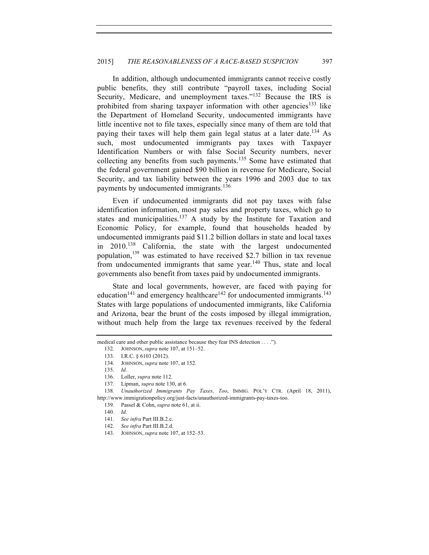In addition, although undocumented immigrants cannot receive costly public benefits, they still contribute "payroll taxes, including Social Security, Medicare, and unemployment taxes."<sup>132</sup> Because the IRS is prohibited from sharing taxpayer information with other agencies<sup>133</sup> like the Department of Homeland Security, undocumented immigrants have little incentive not to file taxes, especially since many of them are told that paying their taxes will help them gain legal status at a later date.<sup>134</sup> As such, most undocumented immigrants pay taxes with Taxpayer Identification Numbers or with false Social Security numbers, never collecting any benefits from such payments.<sup>135</sup> Some have estimated that the federal government gained \$90 billion in revenue for Medicare, Social Security, and tax liability between the years 1996 and 2003 due to tax payments by undocumented immigrants.<sup>136</sup>

Even if undocumented immigrants did not pay taxes with false identification information, most pay sales and property taxes, which go to states and municipalities.<sup>137</sup> A study by the Institute for Taxation and Economic Policy, for example, found that households headed by undocumented immigrants paid \$11.2 billion dollars in state and local taxes in 2010.<sup>138</sup> California, the state with the largest undocumented population,  $^{139}$  was estimated to have received \$2.7 billion in tax revenue from undocumented immigrants that same year. $140$  Thus, state and local governments also benefit from taxes paid by undocumented immigrants.

State and local governments, however, are faced with paying for education<sup>141</sup> and emergency healthcare<sup>142</sup> for undocumented immigrants.<sup>143</sup> States with large populations of undocumented immigrants, like California and Arizona, bear the brunt of the costs imposed by illegal immigration, without much help from the large tax revenues received by the federal

medical care and other public assistance because they fear INS detection . . . .").

<sup>132.</sup> JOHNSON, *supra* note 107, at 151–52.

<sup>133.</sup> I.R.C. § 6103 (2012).

<sup>134.</sup> JOHNSON, *supra* note 107, at 152.

<sup>135.</sup> *Id*.

<sup>136.</sup> Loller, *supra* note 112.

<sup>137.</sup> Lipman, *supra* note 130, at 6.

<sup>138.</sup> *Unauthorized Immigrants Pay Taxes, Too*, IMMIG. POL'Y CTR. (April 18, 2011), http://www.immigrationpolicy.org/just-facts/unauthorized-immigrants-pay-taxes-too.

<sup>139.</sup> Passel & Cohn, *supra* note 61, at ii.

<sup>140.</sup> *Id.*

<sup>141.</sup> *See infra* Part III.B.2.c.

<sup>142.</sup> *See infra* Part III.B.2.d.

<sup>143.</sup> JOHNSON, *supra* note 107, at 152–53.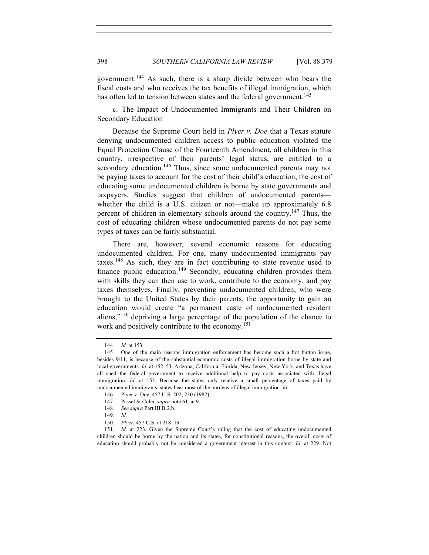government.144 As such, there is a sharp divide between who bears the fiscal costs and who receives the tax benefits of illegal immigration, which has often led to tension between states and the federal government.<sup>145</sup>

c. The Impact of Undocumented Immigrants and Their Children on Secondary Education

Because the Supreme Court held in *Plyer v. Doe* that a Texas statute denying undocumented children access to public education violated the Equal Protection Clause of the Fourteenth Amendment, all children in this country, irrespective of their parents' legal status, are entitled to a secondary education.<sup>146</sup> Thus, since some undocumented parents may not be paying taxes to account for the cost of their child's education, the cost of educating some undocumented children is borne by state governments and taxpayers. Studies suggest that children of undocumented parents whether the child is a U.S. citizen or not—make up approximately 6.8 percent of children in elementary schools around the country.147 Thus, the cost of educating children whose undocumented parents do not pay some types of taxes can be fairly substantial.

There are, however, several economic reasons for educating undocumented children. For one, many undocumented immigrants pay taxes.<sup>148</sup> As such, they are in fact contributing to state revenue used to finance public education.<sup>149</sup> Secondly, educating children provides them with skills they can then use to work, contribute to the economy, and pay taxes themselves. Finally, preventing undocumented children, who were brought to the United States by their parents, the opportunity to gain an education would create "a permanent caste of undocumented resident aliens,"<sup>150</sup> depriving a large percentage of the population of the chance to work and positively contribute to the economy.<sup>151</sup>

- 147. Passel & Cohn, *supra* note 61, at 9.
- 148. *See supra* Part III.B.2.b.
- 149. *Id.*
- 150. *Plyer*, 457 U.S. at 218–19.

<sup>144.</sup> *Id.* at 153.

<sup>145.</sup> One of the main reasons immigration enforcement has become such a hot button issue, besides 9/11, is because of the substantial economic costs of illegal immigration borne by state and local governments. *Id.* at 152–53. Arizona, California, Florida, New Jersey, New York, and Texas have all sued the federal government to receive additional help to pay costs associated with illegal immigration. *Id.* at 153. Because the states only receive a small percentage of taxes paid by undocumented immigrants, states bear most of the burdens of illegal immigration. *Id.*

<sup>146.</sup> Plyer v. Doe, 457 U.S. 202, 230 (1982).

<sup>151.</sup> *Id.* at 223. Given the Supreme Court's ruling that the cost of educating undocumented children should be borne by the nation and its states, for constitutional reasons, the overall costs of education should probably not be considered a government interest in this context. *Id.* at 229. Not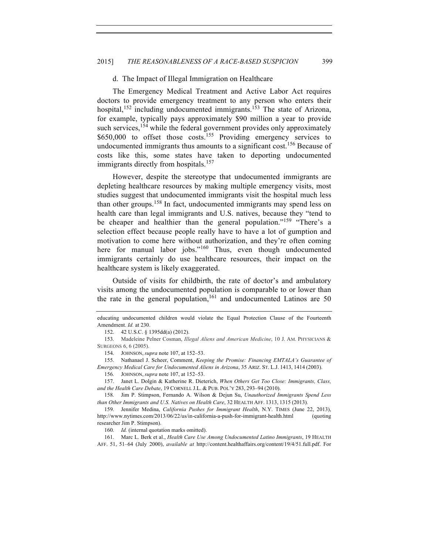### d. The Impact of Illegal Immigration on Healthcare

The Emergency Medical Treatment and Active Labor Act requires doctors to provide emergency treatment to any person who enters their hospital,  $152$  including undocumented immigrants.<sup>153</sup> The state of Arizona, for example, typically pays approximately \$90 million a year to provide such services,<sup>154</sup> while the federal government provides only approximately  $$650,000$  to offset those costs.<sup>155</sup> Providing emergency services to undocumented immigrants thus amounts to a significant cost.<sup>156</sup> Because of costs like this, some states have taken to deporting undocumented immigrants directly from hospitals.<sup>157</sup>

However, despite the stereotype that undocumented immigrants are depleting healthcare resources by making multiple emergency visits, most studies suggest that undocumented immigrants visit the hospital much less than other groups.<sup>158</sup> In fact, undocumented immigrants may spend less on health care than legal immigrants and U.S. natives, because they "tend to be cheaper and healthier than the general population."<sup>159</sup> "There's a selection effect because people really have to have a lot of gumption and motivation to come here without authorization, and they're often coming here for manual labor jobs."<sup>160</sup> Thus, even though undocumented immigrants certainly do use healthcare resources, their impact on the healthcare system is likely exaggerated.

Outside of visits for childbirth, the rate of doctor's and ambulatory visits among the undocumented population is comparable to or lower than the rate in the general population,  $161$  and undocumented Latinos are 50

educating undocumented children would violate the Equal Protection Clause of the Fourteenth Amendment. *Id.* at 230.

<sup>152.</sup> 42 U.S.C. § 1395dd(a) (2012).

<sup>153.</sup> Madeleine Pelner Cosman, *Illegal Aliens and American Medicine*, 10 J. AM. PHYSICIANS & SURGEONS 6, 6 (2005).

<sup>154.</sup> JOHNSON, *supra* note 107, at 152–53.

<sup>155.</sup> Nathanael J. Scheer, Comment, *Keeping the Promise: Financing EMTALA's Guarantee of Emergency Medical Care for Undocumented Aliens in Arizona*, 35 ARIZ. ST. L.J. 1413, 1414 (2003).

<sup>156.</sup> JOHNSON, *supra* note 107, at 152–53.

<sup>157.</sup> Janet L. Dolgin & Katherine R. Dieterich, *When Others Get Too Close: Immigrants, Class, and the Health Care Debate*, 19 CORNELL J.L. & PUB. POL'Y 283, 293–94 (2010).

<sup>158.</sup> Jim P. Stimpson, Fernando A. Wilson & Dejun Su, *Unauthorized Immigrants Spend Less than Other Immigrants and U.S. Natives on Health Care*, 32 HEALTH AFF. 1313, 1315 (2013).

<sup>159.</sup> Jennifer Medina, *California Pushes for Immigrant Health*, N.Y. TIMES (June 22, 2013), http://www.nytimes.com/2013/06/22/us/in-california-a-push-for-immigrant-health.html (quoting researcher Jim P. Stimpson).

<sup>160.</sup> *Id.* (internal quotation marks omitted).

<sup>161.</sup> Marc L. Berk et al., *Health Care Use Among Undocumented Latino Immigrants*, 19 HEALTH AFF. 51, 51–64 (July 2000), *available at* http://content.healthaffairs.org/content/19/4/51.full.pdf. For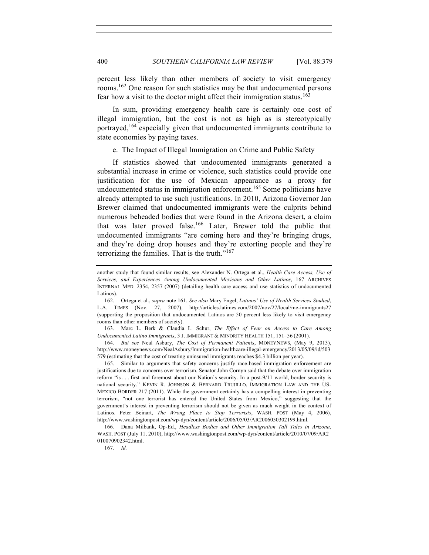percent less likely than other members of society to visit emergency rooms.<sup>162</sup> One reason for such statistics may be that undocumented persons fear how a visit to the doctor might affect their immigration status.<sup>163</sup>

In sum, providing emergency health care is certainly one cost of illegal immigration, but the cost is not as high as is stereotypically portrayed,<sup>164</sup> especially given that undocumented immigrants contribute to state economies by paying taxes.

e. The Impact of Illegal Immigration on Crime and Public Safety

If statistics showed that undocumented immigrants generated a substantial increase in crime or violence, such statistics could provide one justification for the use of Mexican appearance as a proxy for undocumented status in immigration enforcement.<sup>165</sup> Some politicians have already attempted to use such justifications. In 2010, Arizona Governor Jan Brewer claimed that undocumented immigrants were the culprits behind numerous beheaded bodies that were found in the Arizona desert, a claim that was later proved false.166 Later, Brewer told the public that undocumented immigrants "are coming here and they're bringing drugs, and they're doing drop houses and they're extorting people and they're terrorizing the families. That is the truth."<sup>167</sup>

163. Marc L. Berk & Claudia L. Schur, *The Effect of Fear on Access to Care Among Undocumented Latino Immigrants*, 3 J. IMMIGRANT & MINORITY HEALTH 151, 151–56 (2001).

164. *But see* Neal Asbury, *The Cost of Permanent Patients*, MONEYNEWS, (May 9, 2013), http://www.moneynews.com/NealAsbury/Immigration-healthcare-illegal-emergency/2013/05/09/id/503 579 (estimating that the cost of treating uninsured immigrants reaches \$4.3 billion per year).

165. Similar to arguments that safety concerns justify race-based immigration enforcement are justifications due to concerns over terrorism. Senator John Cornyn said that the debate over immigration reform "is . . . first and foremost about our Nation's security. In a post-9/11 world, border security is national security." KEVIN R. JOHNSON & BERNARD TRUJILLO, IMMIGRATION LAW AND THE US-MEXICO BORDER 217 (2011). While the government certainly has a compelling interest in preventing terrorism, "not one terrorist has entered the United States from Mexico," suggesting that the government's interest in preventing terrorism should not be given as much weight in the context of Latinos. Peter Beinart, *The Wrong Place to Stop Terrorists*, WASH. POST (May 4, 2006), http://www.washingtonpost.com/wp-dyn/content/article/2006/05/03/AR2006050302199.html.

166. Dana Milbank, Op-Ed., *Headless Bodies and Other Immigration Tall Tales in Arizona*, WASH. POST (July 11, 2010), http://www.washingtonpost.com/wp-dyn/content/article/2010/07/09/AR2 010070902342.html.

167. *Id.*

another study that found similar results, see Alexander N. Ortega et al., *Health Care Access, Use of Services, and Experiences Among Undocumented Mexicans and Other Latinos*, 167 ARCHIVES INTERNAL MED. 2354, 2357 (2007) (detailing health care access and use statistics of undocumented Latinos).

<sup>162.</sup> Ortega et al., *supra* note 161. *See also* Mary Engel, *Latinos' Use of Health Services Studied*, L.A. TIMES (Nov. 27, 2007), http://articles.latimes.com/2007/nov/27/local/me-immigrants27 (supporting the proposition that undocumented Latinos are 50 percent less likely to visit emergency rooms than other members of society).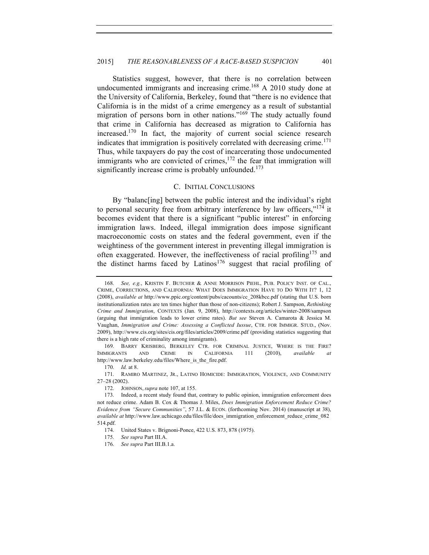Statistics suggest, however, that there is no correlation between undocumented immigrants and increasing crime.<sup>168</sup> A 2010 study done at the University of California, Berkeley, found that "there is no evidence that California is in the midst of a crime emergency as a result of substantial migration of persons born in other nations."<sup>169</sup> The study actually found that crime in California has decreased as migration to California has increased.170 In fact, the majority of current social science research indicates that immigration is positively correlated with decreasing crime.<sup>171</sup> Thus, while taxpayers do pay the cost of incarcerating those undocumented immigrants who are convicted of crimes,<sup>172</sup> the fear that immigration will significantly increase crime is probably unfounded.<sup>173</sup>

# C. INITIAL CONCLUSIONS

By "balanc[ing] between the public interest and the individual's right to personal security free from arbitrary interference by law officers,"<sup>174</sup> it becomes evident that there is a significant "public interest" in enforcing immigration laws. Indeed, illegal immigration does impose significant macroeconomic costs on states and the federal government, even if the weightiness of the government interest in preventing illegal immigration is often exaggerated. However, the ineffectiveness of racial profiling<sup>175</sup> and the distinct harms faced by Latinos<sup>176</sup> suggest that racial profiling of

169. BARRY KRISBERG, BERKELEY CTR. FOR CRIMINAL JUSTICE, WHERE IS THE FIRE? IMMIGRANTS AND CRIME IN CALIFORNIA 111 (2010), *available at*  http://www.law.berkeley.edu/files/Where\_is\_the\_fire.pdf.

170. *Id.* at 8.

<sup>168.</sup> *See, e.g.*, KRISTIN F. BUTCHER & ANNE MORRISON PIEHL, PUB. POLICY INST. OF CAL., CRIME, CORRECTIONS, AND CALIFORNIA: WHAT DOES IMMIGRATION HAVE TO DO WITH IT? 1, 12 (2008), *available at* http://www.ppic.org/content/pubs/cacounts/cc\_208kbcc.pdf (stating that U.S. born institutionalization rates are ten times higher than those of non-citizens); Robert J. Sampson, *Rethinking Crime and Immigration*, CONTEXTS (Jan. 9, 2008), http://contexts.org/articles/winter-2008/sampson (arguing that immigration leads to lower crime rates). *But see* Steven A. Camarota & Jessica M. Vaughan, *Immigration and Crime: Assessing a Conflicted Iussue*, CTR. FOR IMMIGR. STUD., (Nov. 2009), http://www.cis.org/sites/cis.org/files/articles/2009/crime.pdf (providing statistics suggesting that there is a high rate of criminality among immigrants).

<sup>171.</sup> RAMIRO MARTINEZ, JR., LATINO HOMICIDE: IMMIGRATION, VIOLENCE, AND COMMUNITY 27–28 (2002).

<sup>172.</sup> JOHNSON, *supra* note 107, at 155.

<sup>173.</sup> Indeed, a recent study found that, contrary to public opinion, immigration enforcement does not reduce crime. Adam B. Cox & Thomas J. Miles, *Does Immigration Enforcement Reduce Crime? Evidence from "Secure Communities"*, 57 J.L. & ECON. (forthcoming Nov. 2014) (manuscript at 38), *available at* http://www.law.uchicago.edu/files/file/does\_immigration\_enforcement\_reduce\_crime\_082 514.pdf.

<sup>174.</sup> United States v. Brignoni-Ponce, 422 U.S. 873, 878 (1975).

<sup>175.</sup> *See supra* Part III.A.

<sup>176.</sup> *See supra* Part III.B.1.a.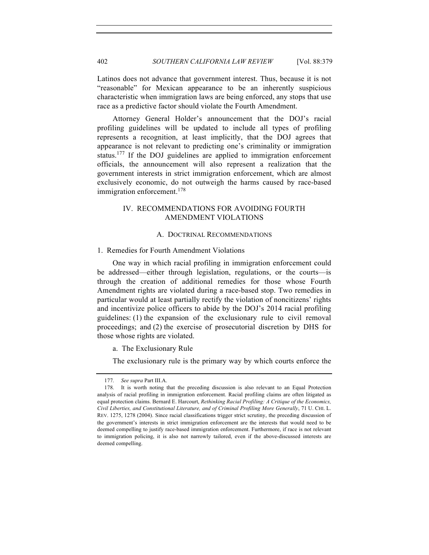Latinos does not advance that government interest. Thus, because it is not "reasonable" for Mexican appearance to be an inherently suspicious characteristic when immigration laws are being enforced, any stops that use race as a predictive factor should violate the Fourth Amendment.

Attorney General Holder's announcement that the DOJ's racial profiling guidelines will be updated to include all types of profiling represents a recognition, at least implicitly, that the DOJ agrees that appearance is not relevant to predicting one's criminality or immigration status.<sup>177</sup> If the DOJ guidelines are applied to immigration enforcement officials, the announcement will also represent a realization that the government interests in strict immigration enforcement, which are almost exclusively economic, do not outweigh the harms caused by race-based immigration enforcement.<sup>178</sup>

# IV. RECOMMENDATIONS FOR AVOIDING FOURTH AMENDMENT VIOLATIONS

### A. DOCTRINAL RECOMMENDATIONS

## 1. Remedies for Fourth Amendment Violations

One way in which racial profiling in immigration enforcement could be addressed—either through legislation, regulations, or the courts—is through the creation of additional remedies for those whose Fourth Amendment rights are violated during a race-based stop. Two remedies in particular would at least partially rectify the violation of noncitizens' rights and incentivize police officers to abide by the DOJ's 2014 racial profiling guidelines: (1) the expansion of the exclusionary rule to civil removal proceedings; and (2) the exercise of prosecutorial discretion by DHS for those whose rights are violated.

a. The Exclusionary Rule

The exclusionary rule is the primary way by which courts enforce the

<sup>177.</sup> *See supra* Part III.A.

<sup>178.</sup> It is worth noting that the preceding discussion is also relevant to an Equal Protection analysis of racial profiling in immigration enforcement. Racial profiling claims are often litigated as equal protection claims. Bernard E. Harcourt, *Rethinking Racial Profiling: A Critique of the Economics, Civil Liberties, and Constitutional Literature, and of Criminal Profiling More Generally*, 71 U. CHI. L. REV. 1275, 1278 (2004). Since racial classifications trigger strict scrutiny, the preceding discussion of the government's interests in strict immigration enforcement are the interests that would need to be deemed compelling to justify race-based immigration enforcement. Furthermore, if race is not relevant to immigration policing, it is also not narrowly tailored, even if the above-discussed interests are deemed compelling.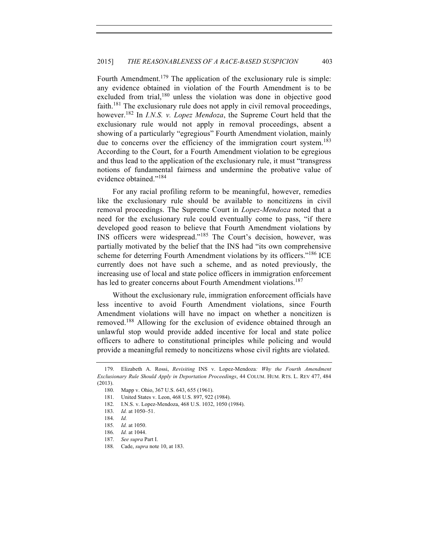Fourth Amendment.<sup>179</sup> The application of the exclusionary rule is simple: any evidence obtained in violation of the Fourth Amendment is to be excluded from trial,<sup>180</sup> unless the violation was done in objective good faith.<sup>181</sup> The exclusionary rule does not apply in civil removal proceedings, however.182 In *I.N.S. v. Lopez Mendoza*, the Supreme Court held that the exclusionary rule would not apply in removal proceedings, absent a showing of a particularly "egregious" Fourth Amendment violation, mainly due to concerns over the efficiency of the immigration court system.<sup>183</sup> According to the Court, for a Fourth Amendment violation to be egregious and thus lead to the application of the exclusionary rule, it must "transgress notions of fundamental fairness and undermine the probative value of evidence obtained."<sup>184</sup>

For any racial profiling reform to be meaningful, however, remedies like the exclusionary rule should be available to noncitizens in civil removal proceedings. The Supreme Court in *Lopez-Mendoza* noted that a need for the exclusionary rule could eventually come to pass, "if there developed good reason to believe that Fourth Amendment violations by INS officers were widespread."<sup>185</sup> The Court's decision, however, was partially motivated by the belief that the INS had "its own comprehensive scheme for deterring Fourth Amendment violations by its officers."<sup>186</sup> ICE currently does not have such a scheme, and as noted previously, the increasing use of local and state police officers in immigration enforcement has led to greater concerns about Fourth Amendment violations.<sup>187</sup>

Without the exclusionary rule, immigration enforcement officials have less incentive to avoid Fourth Amendment violations, since Fourth Amendment violations will have no impact on whether a noncitizen is removed.<sup>188</sup> Allowing for the exclusion of evidence obtained through an unlawful stop would provide added incentive for local and state police officers to adhere to constitutional principles while policing and would provide a meaningful remedy to noncitizens whose civil rights are violated.

<sup>179.</sup> Elizabeth A. Rossi, *Revisiting* INS v. Lopez-Mendoza*: Why the Fourth Amendment Exclusionary Rule Should Apply in Deportation Proceedings*, 44 COLUM. HUM. RTS. L. REV 477, 484 (2013).

<sup>180.</sup> Mapp v. Ohio, 367 U.S. 643, 655 (1961).

<sup>181.</sup> United States v. Leon, 468 U.S. 897, 922 (1984).

<sup>182.</sup> I.N.S. v. Lopez-Mendoza, 468 U.S. 1032, 1050 (1984).

<sup>183.</sup> *Id.* at 1050–51.

<sup>184.</sup> *Id.*

<sup>185.</sup> *Id.* at 1050.

<sup>186.</sup> *Id.* at 1044.

<sup>187.</sup> *See supra* Part I.

<sup>188.</sup> Cade, *supra* note 10, at 183.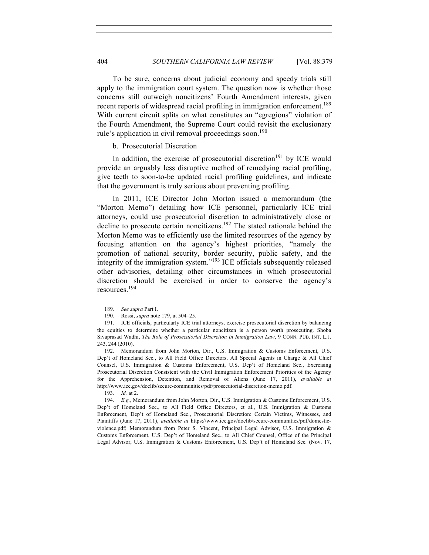To be sure, concerns about judicial economy and speedy trials still apply to the immigration court system. The question now is whether those concerns still outweigh noncitizens' Fourth Amendment interests, given recent reports of widespread racial profiling in immigration enforcement.<sup>189</sup> With current circuit splits on what constitutes an "egregious" violation of the Fourth Amendment, the Supreme Court could revisit the exclusionary rule's application in civil removal proceedings soon.<sup>190</sup>

b. Prosecutorial Discretion

In addition, the exercise of prosecutorial discretion $191$  by ICE would provide an arguably less disruptive method of remedying racial profiling, give teeth to soon-to-be updated racial profiling guidelines, and indicate that the government is truly serious about preventing profiling.

In 2011, ICE Director John Morton issued a memorandum (the "Morton Memo") detailing how ICE personnel, particularly ICE trial attorneys, could use prosecutorial discretion to administratively close or decline to prosecute certain noncitizens.192 The stated rationale behind the Morton Memo was to efficiently use the limited resources of the agency by focusing attention on the agency's highest priorities, "namely the promotion of national security, border security, public safety, and the integrity of the immigration system."<sup>193</sup> ICE officials subsequently released other advisories, detailing other circumstances in which prosecutorial discretion should be exercised in order to conserve the agency's resources.<sup>194</sup>

<sup>189.</sup> *See supra* Part I.

<sup>190.</sup> Rossi, *supra* note 179, at 504–25.

<sup>191.</sup> ICE officials, particularly ICE trial attorneys, exercise prosecutorial discretion by balancing the equities to determine whether a particular noncitizen is a person worth prosecuting. Shoba Sivaprasad Wadhi, *The Role of Prosecutorial Discretion in Immigration Law*, 9 CONN. PUB. INT. L.J. 243, 244 (2010).

<sup>192.</sup> Memorandum from John Morton, Dir., U.S. Immigration & Customs Enforcement, U.S. Dep't of Homeland Sec., to All Field Office Directors, All Special Agents in Charge & All Chief Counsel, U.S. Immigration & Customs Enforcement, U.S. Dep't of Homeland Sec., Exercising Prosecutorial Discretion Consistent with the Civil Immigration Enforcement Priorities of the Agency for the Apprehension, Detention, and Removal of Aliens (June 17, 2011), *available at* http://www.ice.gov/doclib/secure-communities/pdf/prosecutorial-discretion-memo.pdf.

<sup>193.</sup> *Id.* at 2.

<sup>194.</sup> *E.g.*, Memorandum from John Morton, Dir., U.S. Immigration & Customs Enforcement, U.S. Dep't of Homeland Sec., to All Field Office Directors, et al., U.S. Immigration & Customs Enforcement, Dep't of Homeland Sec., Prosecutorial Discretion: Certain Victims, Witnesses, and Plaintiffs (June 17, 2011), *available at* https://www.ice.gov/doclib/secure-communities/pdf/domesticviolence.pdf; Memorandum from Peter S. Vincent, Principal Legal Advisor, U.S. Immigration & Customs Enforcement, U.S. Dep't of Homeland Sec., to All Chief Counsel, Office of the Principal Legal Advisor, U.S. Immigration & Customs Enforcement, U.S. Dep't of Homeland Sec. (Nov. 17,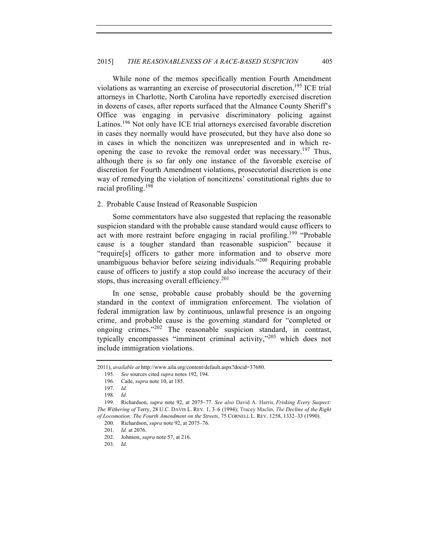While none of the memos specifically mention Fourth Amendment violations as warranting an exercise of prosecutorial discretion,<sup>195</sup> ICE trial attorneys in Charlotte, North Carolina have reportedly exercised discretion in dozens of cases, after reports surfaced that the Almance County Sheriff's Office was engaging in pervasive discriminatory policing against Latinos.<sup>196</sup> Not only have ICE trial attorneys exercised favorable discretion in cases they normally would have prosecuted, but they have also done so in cases in which the noncitizen was unrepresented and in which reopening the case to revoke the removal order was necessary.<sup>197</sup> Thus, although there is so far only one instance of the favorable exercise of discretion for Fourth Amendment violations, prosecutorial discretion is one way of remedying the violation of noncitizens' constitutional rights due to racial profiling.<sup>198</sup>

### 2. Probable Cause Instead of Reasonable Suspicion

Some commentators have also suggested that replacing the reasonable suspicion standard with the probable cause standard would cause officers to act with more restraint before engaging in racial profiling.<sup>199</sup> "Probable cause is a tougher standard than reasonable suspicion" because it "require[s] officers to gather more information and to observe more unambiguous behavior before seizing individuals."<sup>200</sup> Requiring probable cause of officers to justify a stop could also increase the accuracy of their stops, thus increasing overall efficiency.<sup>201</sup>

In one sense, probable cause probably should be the governing standard in the context of immigration enforcement. The violation of federal immigration law by continuous, unlawful presence is an ongoing crime, and probable cause is the governing standard for "completed or ongoing crimes."<sup>202</sup> The reasonable suspicion standard, in contrast, typically encompasses "imminent criminal activity,"<sup>203</sup> which does not include immigration violations.

<sup>2011),</sup> *available at* http://www.aila.org/content/default.aspx?docid=37680.

<sup>195.</sup> *See* sources cited *supra* notes 192, 194.

<sup>196.</sup> Cade, *supra* note 10, at 185.

<sup>197.</sup> *Id.*

<sup>198.</sup> *Id.*

<sup>199.</sup> Richardson, *supra* note 92, at 2075–77. *See also* David A. Harris, *Frisking Every Suspect: The Withering of* Terry, 28 U.C. DAVIS L. REV*.* 1, 3–6 (1994); Tracey Maclin, *The Decline of the Right of Locomotion: The Fourth Amendment on the Streets*, 75 CORNELL L. REV. 1258, 1332–33 (1990).

<sup>200.</sup> Richardson, *supra* note 92, at 2075–76.

<sup>201.</sup> *Id.* at 2076.

<sup>202.</sup> Johnson, *supra* note 57, at 216.

<sup>203.</sup> *Id.*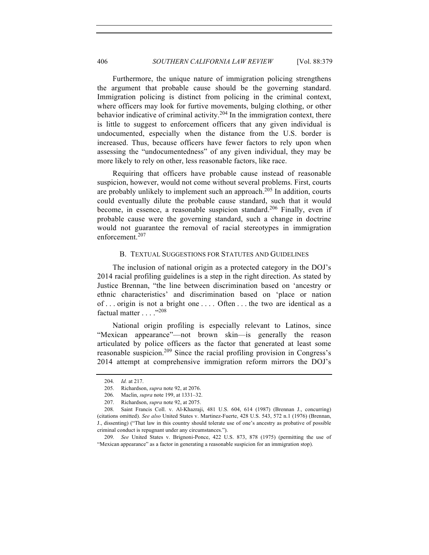Furthermore, the unique nature of immigration policing strengthens the argument that probable cause should be the governing standard. Immigration policing is distinct from policing in the criminal context, where officers may look for furtive movements, bulging clothing, or other behavior indicative of criminal activity.<sup>204</sup> In the immigration context, there is little to suggest to enforcement officers that any given individual is undocumented, especially when the distance from the U.S. border is increased. Thus, because officers have fewer factors to rely upon when assessing the "undocumentedness" of any given individual, they may be more likely to rely on other, less reasonable factors, like race.

Requiring that officers have probable cause instead of reasonable suspicion, however, would not come without several problems. First, courts are probably unlikely to implement such an approach.<sup>205</sup> In addition, courts could eventually dilute the probable cause standard, such that it would become, in essence, a reasonable suspicion standard.<sup>206</sup> Finally, even if probable cause were the governing standard, such a change in doctrine would not guarantee the removal of racial stereotypes in immigration enforcement.<sup>207</sup>

## B. TEXTUAL SUGGESTIONS FOR STATUTES AND GUIDELINES

The inclusion of national origin as a protected category in the DOJ's 2014 racial profiling guidelines is a step in the right direction. As stated by Justice Brennan, "the line between discrimination based on 'ancestry or ethnic characteristics' and discrimination based on 'place or nation of ... origin is not a bright one .... Often ... the two are identical as a factual matter . . . ."<sup>208</sup>

National origin profiling is especially relevant to Latinos, since "Mexican appearance"—not brown skin—is generally the reason articulated by police officers as the factor that generated at least some reasonable suspicion.<sup>209</sup> Since the racial profiling provision in Congress's 2014 attempt at comprehensive immigration reform mirrors the DOJ's

<sup>204.</sup> *Id.* at 217.

<sup>205.</sup> Richardson, *supra* note 92, at 2076.

<sup>206.</sup> Maclin, *supra* note 199, at 1331–32.

<sup>207.</sup> Richardson, *supra* note 92, at 2075.

<sup>208.</sup> Saint Francis Coll. v. Al-Khazraji, 481 U.S. 604, 614 (1987) (Brennan J., concurring) (citations omitted). *See also* United States v. Martinez-Fuerte, 428 U.S. 543, 572 n.1 (1976) (Brennan, J., dissenting) ("That law in this country should tolerate use of one's ancestry as probative of possible criminal conduct is repugnant under any circumstances.").

<sup>209.</sup> *See* United States v. Brignoni-Ponce, 422 U.S. 873, 878 (1975) (permitting the use of "Mexican appearance" as a factor in generating a reasonable suspicion for an immigration stop).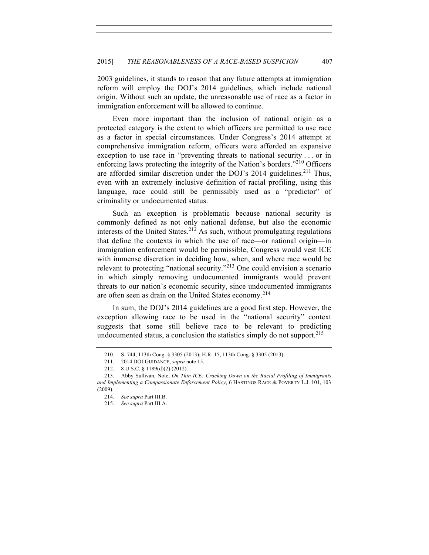2003 guidelines, it stands to reason that any future attempts at immigration reform will employ the DOJ's 2014 guidelines, which include national origin. Without such an update, the unreasonable use of race as a factor in immigration enforcement will be allowed to continue.

Even more important than the inclusion of national origin as a protected category is the extent to which officers are permitted to use race as a factor in special circumstances. Under Congress's 2014 attempt at comprehensive immigration reform, officers were afforded an expansive exception to use race in "preventing threats to national security . . . or in enforcing laws protecting the integrity of the Nation's borders."<sup>210</sup> Officers are afforded similar discretion under the DOJ's  $2014$  guidelines.<sup>211</sup> Thus, even with an extremely inclusive definition of racial profiling, using this language, race could still be permissibly used as a "predictor" of criminality or undocumented status.

Such an exception is problematic because national security is commonly defined as not only national defense, but also the economic interests of the United States.<sup>212</sup> As such, without promulgating regulations that define the contexts in which the use of race—or national origin—in immigration enforcement would be permissible, Congress would vest ICE with immense discretion in deciding how, when, and where race would be relevant to protecting "national security."<sup>213</sup> One could envision a scenario in which simply removing undocumented immigrants would prevent threats to our nation's economic security, since undocumented immigrants are often seen as drain on the United States economy.<sup>214</sup>

In sum, the DOJ's 2014 guidelines are a good first step. However, the exception allowing race to be used in the "national security" context suggests that some still believe race to be relevant to predicting undocumented status, a conclusion the statistics simply do not support.<sup>215</sup>

<sup>210.</sup> S. 744, 113th Cong. § 3305 (2013); H.R. 15, 113th Cong. § 3305 (2013).

<sup>211.</sup> 2014 DOJ GUIDANCE, *supra* note 15.

<sup>212.</sup> 8 U.S.C. § 1189(d)(2) (2012).

<sup>213.</sup> Abby Sullivan, Note, *On Thin ICE: Cracking Down on the Racial Profiling of Immigrants and Implementing a Compassionate Enforcement Policy*, 6 HASTINGS RACE & POVERTY L.J. 101, 103 (2009).

<sup>214.</sup> *See supra* Part III.B.

<sup>215.</sup> *See supra* Part III.A.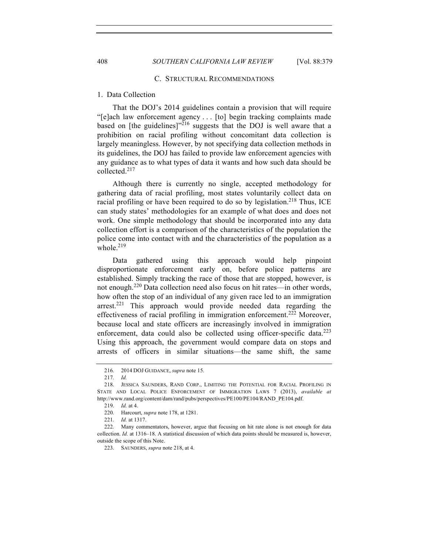# 408 *SOUTHERN CALIFORNIA LAW REVIEW* [Vol. 88:379

### C. STRUCTURAL RECOMMENDATIONS

# 1. Data Collection

That the DOJ's 2014 guidelines contain a provision that will require "[e]ach law enforcement agency . . . [to] begin tracking complaints made based on [the guidelines] $v^{216}$  suggests that the DOJ is well aware that a prohibition on racial profiling without concomitant data collection is largely meaningless. However, by not specifying data collection methods in its guidelines, the DOJ has failed to provide law enforcement agencies with any guidance as to what types of data it wants and how such data should be collected.<sup>217</sup>

Although there is currently no single, accepted methodology for gathering data of racial profiling, most states voluntarily collect data on racial profiling or have been required to do so by legislation.<sup>218</sup> Thus, ICE can study states' methodologies for an example of what does and does not work. One simple methodology that should be incorporated into any data collection effort is a comparison of the characteristics of the population the police come into contact with and the characteristics of the population as a whole. $219$ 

Data gathered using this approach would help pinpoint disproportionate enforcement early on, before police patterns are established. Simply tracking the race of those that are stopped, however, is not enough.<sup>220</sup> Data collection need also focus on hit rates—in other words, how often the stop of an individual of any given race led to an immigration arrest.<sup>221</sup> This approach would provide needed data regarding the effectiveness of racial profiling in immigration enforcement.<sup>222</sup> Moreover, because local and state officers are increasingly involved in immigration enforcement, data could also be collected using officer-specific data. $^{223}$ Using this approach, the government would compare data on stops and arrests of officers in similar situations—the same shift, the same

<sup>216.</sup> 2014 DOJ GUIDANCE, *supra* note 15.

<sup>217.</sup> *Id.*

<sup>218.</sup> JESSICA SAUNDERS, RAND CORP., LIMITING THE POTENTIAL FOR RACIAL PROFILING IN STATE AND LOCAL POLICE ENFORCEMENT OF IMMIGRATION LAWS 7 (2013), *available at* http://www.rand.org/content/dam/rand/pubs/perspectives/PE100/PE104/RAND\_PE104.pdf.

<sup>219.</sup> *Id.* at 4.

<sup>220.</sup> Harcourt, *supra* note 178, at 1281.

<sup>221.</sup> *Id.* at 1317.

<sup>222.</sup> Many commentators, however, argue that focusing on hit rate alone is not enough for data collection. *Id.* at 1316–18. A statistical discussion of which data points should be measured is, however, outside the scope of this Note.

<sup>223.</sup> SAUNDERS, *supra* note 218, at 4.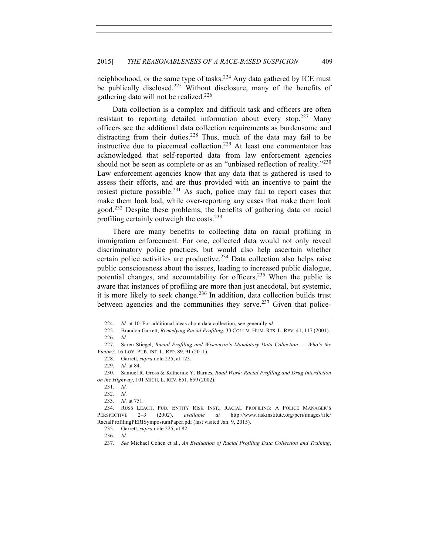neighborhood, or the same type of tasks.<sup>224</sup> Any data gathered by ICE must be publically disclosed.<sup>225</sup> Without disclosure, many of the benefits of gathering data will not be realized.226

Data collection is a complex and difficult task and officers are often resistant to reporting detailed information about every stop.<sup>227</sup> Many officers see the additional data collection requirements as burdensome and distracting from their duties.<sup>228</sup> Thus, much of the data may fail to be instructive due to piecemeal collection.<sup>229</sup> At least one commentator has acknowledged that self-reported data from law enforcement agencies should not be seen as complete or as an "unbiased reflection of reality."<sup>230</sup> Law enforcement agencies know that any data that is gathered is used to assess their efforts, and are thus provided with an incentive to paint the rosiest picture possible.<sup>231</sup> As such, police may fail to report cases that make them look bad, while over-reporting any cases that make them look good.<sup>232</sup> Despite these problems, the benefits of gathering data on racial profiling certainly outweigh the costs.<sup>233</sup>

There are many benefits to collecting data on racial profiling in immigration enforcement. For one, collected data would not only reveal discriminatory police practices, but would also help ascertain whether certain police activities are productive.<sup>234</sup> Data collection also helps raise public consciousness about the issues, leading to increased public dialogue, potential changes, and accountability for officers.<sup>235</sup> When the public is aware that instances of profiling are more than just anecdotal, but systemic, it is more likely to seek change.<sup>236</sup> In addition, data collection builds trust between agencies and the communities they serve.<sup>237</sup> Given that police-

231. *Id.*

232. *Id.*

233. *Id.* at 751.

236. *Id.*

<sup>224.</sup> *Id.* at 10. For additional ideas about data collection, see generally *id.*

<sup>225.</sup> Brandon Garrett, *Remedying Racial Profiling*, 33 COLUM. HUM. RTS. L. REV. 41, 117 (2001). 226. *Id.*

<sup>227.</sup> Saren Stiegel, *Racial Profiling and Wisconsin's Mandatory Data Collection . . . Who's the Victim?,* 16 LOY. PUB. INT. L. REP. 89, 91 (2011).

<sup>228.</sup> Garrett, *supra* note 225, at 123.

<sup>229.</sup> *Id.* at 84.

<sup>230.</sup> Samuel R. Gross & Katherine Y. Barnes, *Road Work: Racial Profiling and Drug Interdiction on the Highway*, 101 MICH. L. REV. 651, 659 (2002).

<sup>234.</sup> RUSS LEACH, PUB. ENTITY RISK INST., RACIAL PROFILING: A POLICE MANAGER'S PERSPECTIVE 2–3 (2002), *available at* http://www.riskinstitute.org/peri/images/file/ RacialProfilingPERISymposiumPaper.pdf (last visited Jan. 9, 2015).

<sup>235.</sup> Garrett, *supra* note 225, at 82.

<sup>237.</sup> *See* Michael Cohen et al., *An Evaluation of Racial Profiling Data Collection and Training*,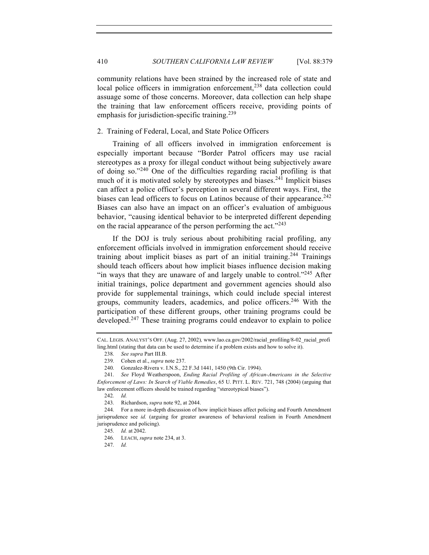community relations have been strained by the increased role of state and local police officers in immigration enforcement,<sup>238</sup> data collection could assuage some of those concerns. Moreover, data collection can help shape the training that law enforcement officers receive, providing points of emphasis for jurisdiction-specific training.<sup>239</sup>

2. Training of Federal, Local, and State Police Officers

Training of all officers involved in immigration enforcement is especially important because "Border Patrol officers may use racial stereotypes as a proxy for illegal conduct without being subjectively aware of doing so."<sup>240</sup> One of the difficulties regarding racial profiling is that much of it is motivated solely by stereotypes and biases.<sup>241</sup> Implicit biases can affect a police officer's perception in several different ways. First, the biases can lead officers to focus on Latinos because of their appearance.<sup>242</sup> Biases can also have an impact on an officer's evaluation of ambiguous behavior, "causing identical behavior to be interpreted different depending on the racial appearance of the person performing the act."<sup>243</sup>

If the DOJ is truly serious about prohibiting racial profiling, any enforcement officials involved in immigration enforcement should receive training about implicit biases as part of an initial training.<sup>244</sup> Trainings should teach officers about how implicit biases influence decision making "in ways that they are unaware of and largely unable to control."<sup>245</sup> After initial trainings, police department and government agencies should also provide for supplemental trainings, which could include special interest groups, community leaders, academics, and police officers.<sup>246</sup> With the participation of these different groups, other training programs could be developed.<sup>247</sup> These training programs could endeavor to explain to police

CAL. LEGIS. ANALYST'S OFF. (Aug. 27, 2002)*,* www.lao.ca.gov/2002/racial\_profiling/8-02\_racial\_profi ling.html (stating that data can be used to determine if a problem exists and how to solve it).

<sup>238.</sup> *See supra* Part III.B.

<sup>239.</sup> Cohen et al., *supra* note 237.

<sup>240.</sup> Gonzalez-Rivera v. I.N.S., 22 F.3d 1441, 1450 (9th Cir. 1994).

<sup>241.</sup> *See* Floyd Weatherspoon, *Ending Racial Profiling of African-Americans in the Selective Enforcement of Laws: In Search of Viable Remedies*, 65 U. PITT. L. REV. 721, 748 (2004) (arguing that law enforcement officers should be trained regarding "stereotypical biases").

<sup>242.</sup> *Id.*

<sup>243.</sup> Richardson, *supra* note 92, at 2044.

<sup>244.</sup> For a more in-depth discussion of how implicit biases affect policing and Fourth Amendment jurisprudence see *id.* (arguing for greater awareness of behavioral realism in Fourth Amendment jurisprudence and policing).

<sup>245.</sup> *Id.* at 2042.

<sup>246.</sup> LEACH, *supra* note 234, at 3.

<sup>247.</sup> *Id.*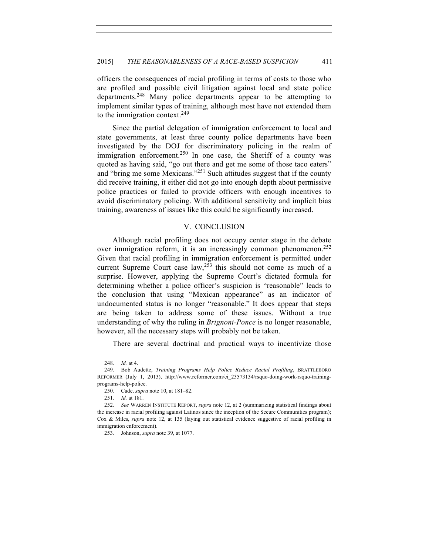officers the consequences of racial profiling in terms of costs to those who are profiled and possible civil litigation against local and state police departments.248 Many police departments appear to be attempting to implement similar types of training, although most have not extended them to the immigration context.<sup>249</sup>

Since the partial delegation of immigration enforcement to local and state governments, at least three county police departments have been investigated by the DOJ for discriminatory policing in the realm of immigration enforcement.<sup>250</sup> In one case, the Sheriff of a county was quoted as having said, "go out there and get me some of those taco eaters" and "bring me some Mexicans."<sup>251</sup> Such attitudes suggest that if the county did receive training, it either did not go into enough depth about permissive police practices or failed to provide officers with enough incentives to avoid discriminatory policing. With additional sensitivity and implicit bias training, awareness of issues like this could be significantly increased.

### V. CONCLUSION

Although racial profiling does not occupy center stage in the debate over immigration reform, it is an increasingly common phenomenon.<sup>252</sup> Given that racial profiling in immigration enforcement is permitted under current Supreme Court case  $law<sub>,253</sub>$  this should not come as much of a surprise. However, applying the Supreme Court's dictated formula for determining whether a police officer's suspicion is "reasonable" leads to the conclusion that using "Mexican appearance" as an indicator of undocumented status is no longer "reasonable." It does appear that steps are being taken to address some of these issues. Without a true understanding of why the ruling in *Brignoni-Ponce* is no longer reasonable, however, all the necessary steps will probably not be taken.

There are several doctrinal and practical ways to incentivize those

<sup>248.</sup> *Id.* at 4.

<sup>249.</sup> Bob Audette, *Training Programs Help Police Reduce Racial Profiling*, BRATTLEBORO REFORMER (July 1, 2013), http://www.reformer.com/ci\_23573134/rsquo-doing-work-rsquo-trainingprograms-help-police.

<sup>250.</sup> Cade, *supra* note 10, at 181–82.

<sup>251.</sup> *Id.* at 181.

<sup>252.</sup> *See* WARREN INSTITUTE REPORT, *supra* note 12, at 2 (summarizing statistical findings about the increase in racial profiling against Latinos since the inception of the Secure Communities program); Cox & Miles, *supra* note 12, at 135 (laying out statistical evidence suggestive of racial profiling in immigration enforcement).

<sup>253.</sup> Johnson, *supra* note 39, at 1077.